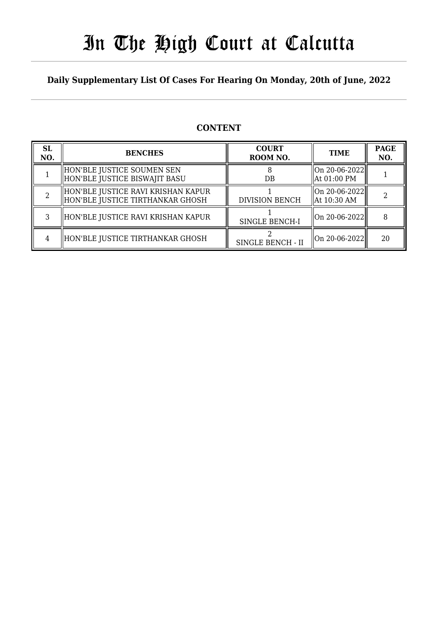# In The High Court at Calcutta

### **Daily Supplementary List Of Cases For Hearing On Monday, 20th of June, 2022**

### **CONTENT**

| <b>SL</b><br>NO. | <b>BENCHES</b>                                                           | <b>COURT</b><br>ROOM NO. | <b>TIME</b>                      | <b>PAGE</b><br>NO. |
|------------------|--------------------------------------------------------------------------|--------------------------|----------------------------------|--------------------|
|                  | HON'BLE JUSTICE SOUMEN SEN<br>HON'BLE JUSTICE BISWAJIT BASU              | DB                       | On 20-06-2022  <br>  At 01:00 PM |                    |
|                  | HON'BLE JUSTICE RAVI KRISHAN KAPUR<br>  HON'BLE JUSTICE TIRTHANKAR GHOSH | <b>DIVISION BENCH</b>    | On 20-06-2022<br>  At 10:30 AM   |                    |
|                  | HON'BLE JUSTICE RAVI KRISHAN KAPUR                                       | SINGLE BENCH-I           | On 20-06-2022                    | 8                  |
|                  | HON'BLE JUSTICE TIRTHANKAR GHOSH                                         | SINGLE BENCH - II        | On 20-06-2022                    | 20                 |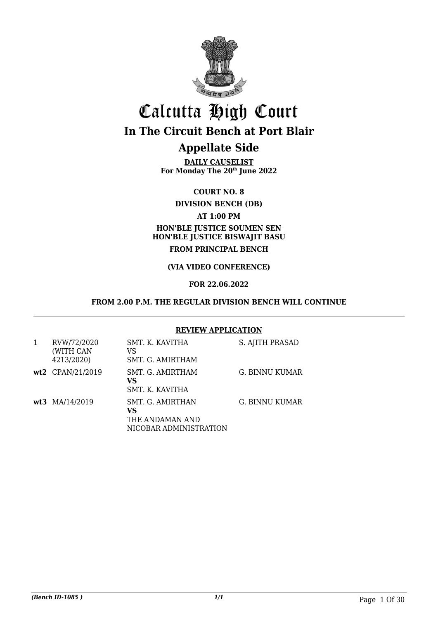

# Calcutta High Court **In The Circuit Bench at Port Blair**

### **Appellate Side**

**DAILY CAUSELIST For Monday The 20th June 2022**

**COURT NO. 8**

**DIVISION BENCH (DB)**

### **AT 1:00 PM**

### **HON'BLE JUSTICE SOUMEN SEN HON'BLE JUSTICE BISWAJIT BASU FROM PRINCIPAL BENCH**

### **(VIA VIDEO CONFERENCE)**

### **FOR 22.06.2022**

#### **FROM 2.00 P.M. THE REGULAR DIVISION BENCH WILL CONTINUE**

#### **REVIEW APPLICATION**

| RVW/72/2020<br>(WITH CAN<br>4213/2020) | SMT. K. KAVITHA<br>VS<br>SMT. G. AMIRTHAM                           | S. AJITH PRASAD |
|----------------------------------------|---------------------------------------------------------------------|-----------------|
| wt2 CPAN/21/2019                       | SMT. G. AMIRTHAM<br>VS<br>SMT. K. KAVITHA                           | G. BINNU KUMAR  |
| wt3 MA/14/2019                         | SMT. G. AMIRTHAN<br>VS<br>THE ANDAMAN AND<br>NICOBAR ADMINISTRATION | G. BINNU KUMAR  |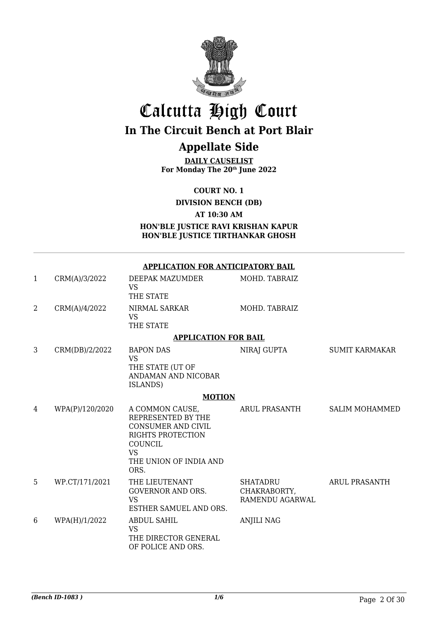

# Calcutta High Court

### **In The Circuit Bench at Port Blair**

### **Appellate Side**

**DAILY CAUSELIST For Monday The 20th June 2022**

**COURT NO. 1**

**DIVISION BENCH (DB)**

**AT 10:30 AM**

**HON'BLE JUSTICE RAVI KRISHAN KAPUR HON'BLE JUSTICE TIRTHANKAR GHOSH**

**APPLICATION FOR ANTICIPATORY BAIL**

| CRM(A)/3/2022 | DEEPAK MAZUMDER<br>VS<br>THE STATE | MOHD. TABRAIZ |
|---------------|------------------------------------|---------------|
| CRM(A)/4/2022 | NIRMAL SARKAR<br>VS<br>THE STATE   | MOHD. TABRAIZ |
|               | <b>APPLICATION FOR BAIL</b>        |               |

#### 3 CRM(DB)/2/2022 BAPON DAS VS THE STATE (UT OF ANDAMAN AND NICOBAR ISLANDS) NIRAJ GUPTA SUMIT KARMAKAR

#### **MOTION**

| 4 | WPA(P)/120/2020 | A COMMON CAUSE,<br>REPRESENTED BY THE<br>CONSUMER AND CIVIL<br>RIGHTS PROTECTION<br><b>COUNCIL</b><br>VS<br>THE UNION OF INDIA AND<br>ORS. | ARUL PRASANTH                                      | <b>SALIM MOHAMMED</b> |
|---|-----------------|--------------------------------------------------------------------------------------------------------------------------------------------|----------------------------------------------------|-----------------------|
| 5 | WP.CT/171/2021  | THE LIEUTENANT<br>GOVERNOR AND ORS.<br>VS<br>ESTHER SAMUEL AND ORS.                                                                        | <b>SHATADRU</b><br>CHAKRABORTY,<br>RAMENDU AGARWAL | ARUL PRASANTH         |
| 6 | WPA(H)/1/2022   | ABDUL SAHIL<br>VS<br>THE DIRECTOR GENERAL<br>OF POLICE AND ORS.                                                                            | <b>ANJILI NAG</b>                                  |                       |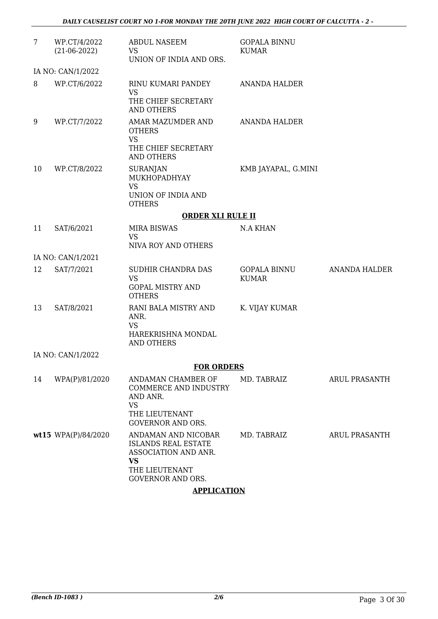| $7\phantom{.}$ | WP.CT/4/2022             | <b>ABDUL NASEEM</b>                                                                               | <b>GOPALA BINNU</b>                 |                      |  |  |
|----------------|--------------------------|---------------------------------------------------------------------------------------------------|-------------------------------------|----------------------|--|--|
|                | $(21-06-2022)$           | <b>VS</b>                                                                                         | KUMAR                               |                      |  |  |
|                |                          | UNION OF INDIA AND ORS.                                                                           |                                     |                      |  |  |
|                | IA NO: CAN/1/2022        |                                                                                                   |                                     |                      |  |  |
| 8              | WP.CT/6/2022             | RINU KUMARI PANDEY<br><b>VS</b>                                                                   | <b>ANANDA HALDER</b>                |                      |  |  |
|                |                          | THE CHIEF SECRETARY<br><b>AND OTHERS</b>                                                          |                                     |                      |  |  |
| 9              | WP.CT/7/2022             | AMAR MAZUMDER AND<br><b>OTHERS</b><br><b>VS</b><br>THE CHIEF SECRETARY<br><b>AND OTHERS</b>       | <b>ANANDA HALDER</b>                |                      |  |  |
| 10             | WP.CT/8/2022             | <b>SURANJAN</b><br>MUKHOPADHYAY<br><b>VS</b><br>UNION OF INDIA AND<br><b>OTHERS</b>               | KMB JAYAPAL, G.MINI                 |                      |  |  |
|                | <b>ORDER XLI RULE II</b> |                                                                                                   |                                     |                      |  |  |
| 11             | SAT/6/2021               | <b>MIRA BISWAS</b><br><b>VS</b><br>NIVA ROY AND OTHERS                                            | <b>N.A KHAN</b>                     |                      |  |  |
|                | IA NO: CAN/1/2021        |                                                                                                   |                                     |                      |  |  |
| 12             | SAT/7/2021               | SUDHIR CHANDRA DAS<br><b>VS</b><br><b>GOPAL MISTRY AND</b><br><b>OTHERS</b>                       | <b>GOPALA BINNU</b><br><b>KUMAR</b> | <b>ANANDA HALDER</b> |  |  |
| 13             | SAT/8/2021               | RANI BALA MISTRY AND<br>ANR.<br><b>VS</b><br>HAREKRISHNA MONDAL<br><b>AND OTHERS</b>              | K. VIJAY KUMAR                      |                      |  |  |
|                | IA NO: CAN/1/2022        |                                                                                                   |                                     |                      |  |  |
|                |                          | <b>FOR ORDERS</b>                                                                                 |                                     |                      |  |  |
| 14             | WPA(P)/81/2020           | ANDAMAN CHAMBER OF<br><b>COMMERCE AND INDUSTRY</b><br>AND ANR.<br><b>VS</b>                       | MD. TABRAIZ                         | ARUL PRASANTH        |  |  |
|                |                          | THE LIEUTENANT<br><b>GOVERNOR AND ORS.</b>                                                        |                                     |                      |  |  |
|                | wt15 $WPA(P)/84/2020$    | ANDAMAN AND NICOBAR<br><b>ISLANDS REAL ESTATE</b><br>ASSOCIATION AND ANR.<br>VS<br>THE LIEUTENANT | MD. TABRAIZ                         | ARUL PRASANTH        |  |  |
|                |                          | <b>GOVERNOR AND ORS.</b>                                                                          |                                     |                      |  |  |
|                | A DDI ICATIONI           |                                                                                                   |                                     |                      |  |  |

**APPLICATION**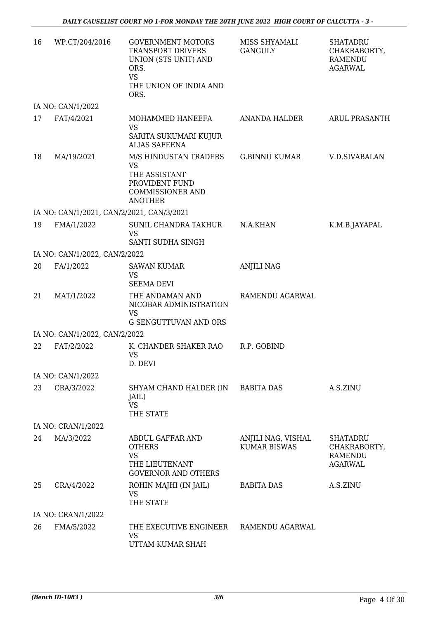| 16 | WP.CT/204/2016                            | <b>GOVERNMENT MOTORS</b><br><b>TRANSPORT DRIVERS</b><br>UNION (STS UNIT) AND<br>ORS.<br><b>VS</b><br>THE UNION OF INDIA AND | MISS SHYAMALI<br><b>GANGULY</b>           | <b>SHATADRU</b><br>CHAKRABORTY,<br><b>RAMENDU</b><br><b>AGARWAL</b> |
|----|-------------------------------------------|-----------------------------------------------------------------------------------------------------------------------------|-------------------------------------------|---------------------------------------------------------------------|
|    |                                           | ORS.                                                                                                                        |                                           |                                                                     |
|    | IA NO: CAN/1/2022                         |                                                                                                                             |                                           |                                                                     |
| 17 | FAT/4/2021                                | MOHAMMED HANEEFA<br><b>VS</b><br>SARITA SUKUMARI KUJUR<br><b>ALIAS SAFEENA</b>                                              | ANANDA HALDER                             | <b>ARUL PRASANTH</b>                                                |
| 18 | MA/19/2021                                | M/S HINDUSTAN TRADERS<br><b>VS</b><br>THE ASSISTANT<br>PROVIDENT FUND<br><b>COMMISSIONER AND</b><br><b>ANOTHER</b>          | G.BINNU KUMAR                             | V.D.SIVABALAN                                                       |
|    | IA NO: CAN/1/2021, CAN/2/2021, CAN/3/2021 |                                                                                                                             |                                           |                                                                     |
| 19 | FMA/1/2022                                | SUNIL CHANDRA TAKHUR<br><b>VS</b><br>SANTI SUDHA SINGH                                                                      | N.A.KHAN                                  | K.M.B.JAYAPAL                                                       |
|    | IA NO: CAN/1/2022, CAN/2/2022             |                                                                                                                             |                                           |                                                                     |
| 20 | FA/1/2022                                 | <b>SAWAN KUMAR</b><br><b>VS</b><br><b>SEEMA DEVI</b>                                                                        | <b>ANJILI NAG</b>                         |                                                                     |
| 21 | MAT/1/2022                                | THE ANDAMAN AND<br>NICOBAR ADMINISTRATION<br><b>VS</b>                                                                      | RAMENDU AGARWAL                           |                                                                     |
|    |                                           | G SENGUTTUVAN AND ORS                                                                                                       |                                           |                                                                     |
|    | IA NO: CAN/1/2022, CAN/2/2022             |                                                                                                                             |                                           |                                                                     |
| 22 | FAT/2/2022                                | K. CHANDER SHAKER RAO<br><b>VS</b><br>D. DEVI                                                                               | R.P. GOBIND                               |                                                                     |
|    | IA NO: CAN/1/2022                         |                                                                                                                             |                                           |                                                                     |
| 23 | CRA/3/2022                                | SHYAM CHAND HALDER (IN BABITA DAS<br>JAIL)<br><b>VS</b><br>THE STATE                                                        |                                           | A.S.ZINU                                                            |
|    | IA NO: CRAN/1/2022                        |                                                                                                                             |                                           |                                                                     |
| 24 | MA/3/2022                                 | <b>ABDUL GAFFAR AND</b><br><b>OTHERS</b><br><b>VS</b><br>THE LIEUTENANT<br><b>GOVERNOR AND OTHERS</b>                       | ANJILI NAG, VISHAL<br><b>KUMAR BISWAS</b> | <b>SHATADRU</b><br>CHAKRABORTY,<br>RAMENDU<br><b>AGARWAL</b>        |
| 25 | CRA/4/2022                                | ROHIN MAJHI (IN JAIL)<br><b>VS</b><br>THE STATE                                                                             | <b>BABITA DAS</b>                         | A.S.ZINU                                                            |
|    | IA NO: CRAN/1/2022                        |                                                                                                                             |                                           |                                                                     |
| 26 | FMA/5/2022                                | THE EXECUTIVE ENGINEER<br><b>VS</b><br>UTTAM KUMAR SHAH                                                                     | RAMENDU AGARWAL                           |                                                                     |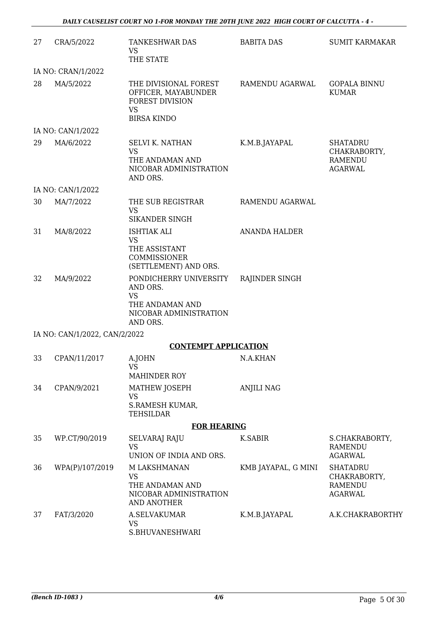| 27 | CRA/5/2022                    | TANKESHWAR DAS<br><b>VS</b><br>THE STATE                                                                  | <b>BABITA DAS</b>    | <b>SUMIT KARMAKAR</b>                                               |
|----|-------------------------------|-----------------------------------------------------------------------------------------------------------|----------------------|---------------------------------------------------------------------|
|    | IA NO: CRAN/1/2022            |                                                                                                           |                      |                                                                     |
| 28 | MA/5/2022                     | THE DIVISIONAL FOREST<br>OFFICER, MAYABUNDER<br><b>FOREST DIVISION</b><br><b>VS</b><br><b>BIRSA KINDO</b> | RAMENDU AGARWAL      | <b>GOPALA BINNU</b><br><b>KUMAR</b>                                 |
|    | IA NO: CAN/1/2022             |                                                                                                           |                      |                                                                     |
| 29 | MA/6/2022                     | <b>SELVI K. NATHAN</b><br><b>VS</b><br>THE ANDAMAN AND<br>NICOBAR ADMINISTRATION<br>AND ORS.              | K.M.B.JAYAPAL        | <b>SHATADRU</b><br>CHAKRABORTY,<br><b>RAMENDU</b><br><b>AGARWAL</b> |
|    | IA NO: CAN/1/2022             |                                                                                                           |                      |                                                                     |
| 30 | MA/7/2022                     | THE SUB REGISTRAR<br><b>VS</b><br>SIKANDER SINGH                                                          | RAMENDU AGARWAL      |                                                                     |
| 31 | MA/8/2022                     | <b>ISHTIAK ALI</b><br><b>VS</b><br>THE ASSISTANT                                                          | <b>ANANDA HALDER</b> |                                                                     |
|    |                               | COMMISSIONER<br>(SETTLEMENT) AND ORS.                                                                     |                      |                                                                     |
| 32 | MA/9/2022                     | PONDICHERRY UNIVERSITY<br>AND ORS.<br><b>VS</b><br>THE ANDAMAN AND<br>NICOBAR ADMINISTRATION              | RAJINDER SINGH       |                                                                     |
|    |                               | AND ORS.                                                                                                  |                      |                                                                     |
|    | IA NO: CAN/1/2022, CAN/2/2022 | <b>CONTEMPT APPLICATION</b>                                                                               |                      |                                                                     |
| 33 | CPAN/11/2017                  | A.JOHN                                                                                                    | N.A.KHAN             |                                                                     |
|    |                               | <b>VS</b><br><b>MAHINDER ROY</b>                                                                          |                      |                                                                     |
| 34 | CPAN/9/2021                   | MATHEW JOSEPH<br>VS<br><b>S.RAMESH KUMAR,</b><br>TEHSILDAR                                                | <b>ANJILI NAG</b>    |                                                                     |
|    |                               | <b>FOR HEARING</b>                                                                                        |                      |                                                                     |
| 35 | WP.CT/90/2019                 | <b>SELVARAJ RAJU</b><br><b>VS</b><br>UNION OF INDIA AND ORS.                                              | K.SABIR              | S.CHAKRABORTY,<br><b>RAMENDU</b><br><b>AGARWAL</b>                  |
| 36 | WPA(P)/107/2019               | M LAKSHMANAN<br><b>VS</b><br>THE ANDAMAN AND<br>NICOBAR ADMINISTRATION<br>AND ANOTHER                     | KMB JAYAPAL, G MINI  | <b>SHATADRU</b><br>CHAKRABORTY,<br>RAMENDU<br><b>AGARWAL</b>        |
| 37 | FAT/3/2020                    | A.SELVAKUMAR<br><b>VS</b><br>S.BHUVANESHWARI                                                              | K.M.B.JAYAPAL        | A.K.CHAKRABORTHY                                                    |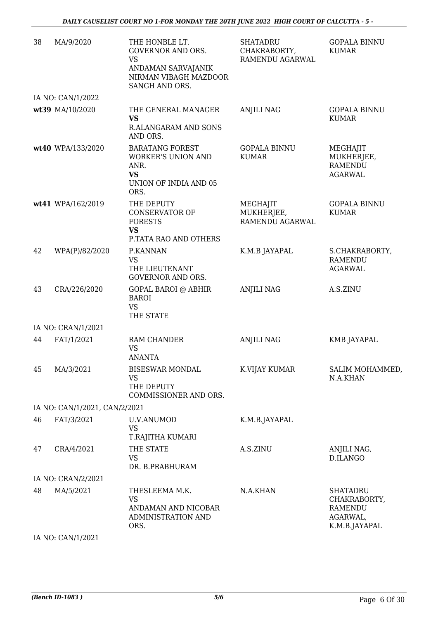| 38 | MA/9/2020                     | THE HONBLE LT.<br><b>GOVERNOR AND ORS.</b><br><b>VS</b><br>ANDAMAN SARVAJANIK<br>NIRMAN VIBAGH MAZDOOR<br>SANGH AND ORS. | <b>SHATADRU</b><br>CHAKRABORTY,<br>RAMENDU AGARWAL | <b>GOPALA BINNU</b><br><b>KUMAR</b>                                            |
|----|-------------------------------|--------------------------------------------------------------------------------------------------------------------------|----------------------------------------------------|--------------------------------------------------------------------------------|
|    | IA NO: CAN/1/2022             |                                                                                                                          |                                                    |                                                                                |
|    | wt39 MA/10/2020               | THE GENERAL MANAGER<br><b>VS</b><br>R.ALANGARAM AND SONS<br>AND ORS.                                                     | <b>ANJILI NAG</b>                                  | <b>GOPALA BINNU</b><br><b>KUMAR</b>                                            |
|    | wt40 WPA/133/2020             | <b>BARATANG FOREST</b><br><b>WORKER'S UNION AND</b><br>ANR.<br><b>VS</b><br>UNION OF INDIA AND 05<br>ORS.                | <b>GOPALA BINNU</b><br><b>KUMAR</b>                | MEGHAJIT<br>MUKHERJEE,<br><b>RAMENDU</b><br><b>AGARWAL</b>                     |
|    | wt41 WPA/162/2019             | THE DEPUTY<br><b>CONSERVATOR OF</b><br><b>FORESTS</b><br><b>VS</b><br>P.TATA RAO AND OTHERS                              | MEGHAJIT<br>MUKHERJEE,<br>RAMENDU AGARWAL          | <b>GOPALA BINNU</b><br><b>KUMAR</b>                                            |
| 42 | WPA(P)/82/2020                | P.KANNAN<br><b>VS</b><br>THE LIEUTENANT<br><b>GOVERNOR AND ORS.</b>                                                      | K.M.B JAYAPAL                                      | S.CHAKRABORTY,<br><b>RAMENDU</b><br><b>AGARWAL</b>                             |
| 43 | CRA/226/2020                  | <b>GOPAL BAROI @ ABHIR</b><br><b>BAROI</b><br><b>VS</b><br>THE STATE                                                     | <b>ANJILI NAG</b>                                  | A.S.ZINU                                                                       |
|    | IA NO: CRAN/1/2021            |                                                                                                                          |                                                    |                                                                                |
| 44 | FAT/1/2021                    | RAM CHANDER<br><b>VS</b><br><b>ANANTA</b>                                                                                | <b>ANJILI NAG</b>                                  | KMB JAYAPAL                                                                    |
| 45 | MA/3/2021                     | <b>BISESWAR MONDAL</b><br><b>VS</b><br>THE DEPUTY<br>COMMISSIONER AND ORS.                                               | K.VIJAY KUMAR                                      | SALIM MOHAMMED,<br>N.A.KHAN                                                    |
|    | IA NO: CAN/1/2021, CAN/2/2021 |                                                                                                                          |                                                    |                                                                                |
| 46 | FAT/3/2021                    | <b>U.V.ANUMOD</b><br>VS<br>T.RAJITHA KUMARI                                                                              | K.M.B.JAYAPAL                                      |                                                                                |
| 47 | CRA/4/2021                    | THE STATE<br><b>VS</b><br>DR. B.PRABHURAM                                                                                | A.S.ZINU                                           | ANJILI NAG,<br>D.ILANGO                                                        |
|    | IA NO: CRAN/2/2021            |                                                                                                                          |                                                    |                                                                                |
| 48 | MA/5/2021                     | THESLEEMA M.K.<br>VS<br>ANDAMAN AND NICOBAR<br>ADMINISTRATION AND<br>ORS.                                                | N.A.KHAN                                           | <b>SHATADRU</b><br>CHAKRABORTY,<br><b>RAMENDU</b><br>AGARWAL,<br>K.M.B.JAYAPAL |
|    | IA NO: CAN/1/2021             |                                                                                                                          |                                                    |                                                                                |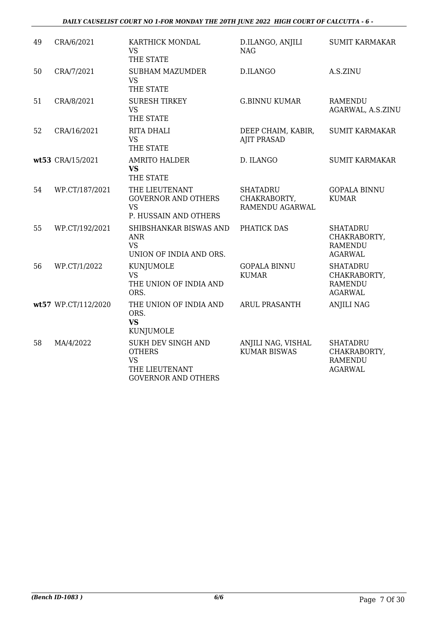#### *DAILY CAUSELIST COURT NO 1-FOR MONDAY THE 20TH JUNE 2022 HIGH COURT OF CALCUTTA - 6 -*

| 49 | CRA/6/2021          | KARTHICK MONDAL<br><b>VS</b><br>THE STATE                                                        | D.ILANGO, ANJILI<br><b>NAG</b>                     | <b>SUMIT KARMAKAR</b>                                               |
|----|---------------------|--------------------------------------------------------------------------------------------------|----------------------------------------------------|---------------------------------------------------------------------|
| 50 | CRA/7/2021          | <b>SUBHAM MAZUMDER</b><br><b>VS</b><br>THE STATE                                                 | <b>D.ILANGO</b>                                    | A.S.ZINU                                                            |
| 51 | CRA/8/2021          | <b>SURESH TIRKEY</b><br><b>VS</b><br>THE STATE                                                   | <b>G.BINNU KUMAR</b>                               | <b>RAMENDU</b><br>AGARWAL, A.S.ZINU                                 |
| 52 | CRA/16/2021         | RITA DHALI<br><b>VS</b><br>THE STATE                                                             | DEEP CHAIM, KABIR,<br><b>AJIT PRASAD</b>           | <b>SUMIT KARMAKAR</b>                                               |
|    | wt53 CRA/15/2021    | <b>AMRITO HALDER</b><br><b>VS</b><br>THE STATE                                                   | D. ILANGO                                          | <b>SUMIT KARMAKAR</b>                                               |
| 54 | WP.CT/187/2021      | THE LIEUTENANT<br><b>GOVERNOR AND OTHERS</b><br><b>VS</b><br>P. HUSSAIN AND OTHERS               | <b>SHATADRU</b><br>CHAKRABORTY,<br>RAMENDU AGARWAL | <b>GOPALA BINNU</b><br><b>KUMAR</b>                                 |
| 55 | WP.CT/192/2021      | SHIBSHANKAR BISWAS AND<br><b>ANR</b><br><b>VS</b><br>UNION OF INDIA AND ORS.                     | PHATICK DAS                                        | <b>SHATADRU</b><br>CHAKRABORTY,<br><b>RAMENDU</b><br><b>AGARWAL</b> |
| 56 | WP.CT/1/2022        | KUNJUMOLE<br><b>VS</b><br>THE UNION OF INDIA AND<br>ORS.                                         | <b>GOPALA BINNU</b><br><b>KUMAR</b>                | <b>SHATADRU</b><br>CHAKRABORTY,<br><b>RAMENDU</b><br><b>AGARWAL</b> |
|    | wt57 WP.CT/112/2020 | THE UNION OF INDIA AND<br>ORS.<br><b>VS</b><br>KUNJUMOLE                                         | ARUL PRASANTH                                      | <b>ANJILI NAG</b>                                                   |
| 58 | MA/4/2022           | SUKH DEV SINGH AND<br><b>OTHERS</b><br><b>VS</b><br>THE LIEUTENANT<br><b>GOVERNOR AND OTHERS</b> | ANJILI NAG, VISHAL<br><b>KUMAR BISWAS</b>          | <b>SHATADRU</b><br>CHAKRABORTY,<br><b>RAMENDU</b><br><b>AGARWAL</b> |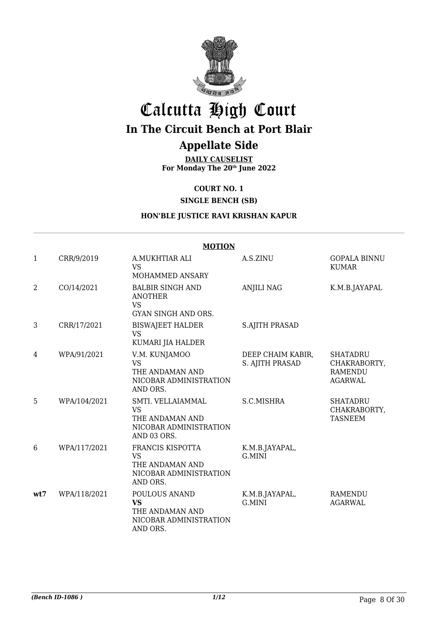

## Calcutta High Court **In The Circuit Bench at Port Blair Appellate Side**

**DAILY CAUSELIST For Monday The 20th June 2022**

**COURT NO. 1**

**SINGLE BENCH (SB)**

### **HON'BLE JUSTICE RAVI KRISHAN KAPUR**

|              | <b>MOTION</b> |                                                                                            |                                      |                                                                     |  |  |
|--------------|---------------|--------------------------------------------------------------------------------------------|--------------------------------------|---------------------------------------------------------------------|--|--|
| $\mathbf{1}$ | CRR/9/2019    | A.MUKHTIAR ALI<br><b>VS</b><br>MOHAMMED ANSARY                                             | A.S.ZINU                             | <b>GOPALA BINNU</b><br><b>KUMAR</b>                                 |  |  |
| 2            | CO/14/2021    | <b>BALBIR SINGH AND</b><br><b>ANOTHER</b><br><b>VS</b><br>GYAN SINGH AND ORS.              | <b>ANJILI NAG</b>                    | K.M.B.JAYAPAL                                                       |  |  |
| 3            | CRR/17/2021   | <b>BISWAJEET HALDER</b><br><b>VS</b><br>KUMARI JIA HALDER                                  | <b>S.AJITH PRASAD</b>                |                                                                     |  |  |
| 4            | WPA/91/2021   | V.M. KUNJAMOO<br><b>VS</b><br>THE ANDAMAN AND<br>NICOBAR ADMINISTRATION<br>AND ORS.        | DEEP CHAIM KABIR,<br>S. AJITH PRASAD | <b>SHATADRU</b><br>CHAKRABORTY,<br><b>RAMENDU</b><br><b>AGARWAL</b> |  |  |
| 5            | WPA/104/2021  | SMTI. VELLAIAMMAL<br><b>VS</b><br>THE ANDAMAN AND<br>NICOBAR ADMINISTRATION<br>AND 03 ORS. | S.C.MISHRA                           | <b>SHATADRU</b><br>CHAKRABORTY,<br><b>TASNEEM</b>                   |  |  |
| 6            | WPA/117/2021  | FRANCIS KISPOTTA<br>VS<br>THE ANDAMAN AND<br>NICOBAR ADMINISTRATION<br>AND ORS.            | K.M.B.JAYAPAL,<br>G.MINI             |                                                                     |  |  |
| wt7          | WPA/118/2021  | POULOUS ANAND<br><b>VS</b><br>THE ANDAMAN AND<br>NICOBAR ADMINISTRATION<br>AND ORS.        | K.M.B.JAYAPAL,<br>G.MINI             | <b>RAMENDU</b><br><b>AGARWAL</b>                                    |  |  |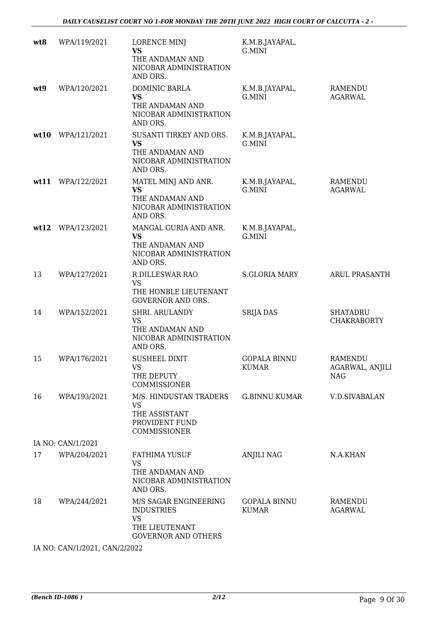| wt8  | WPA/119/2021      | LORENCE MINJ<br><b>VS</b><br>THE ANDAMAN AND<br>NICOBAR ADMINISTRATION<br>AND ORS.                      | K.M.B.JAYAPAL,<br>G.MINI            |                                                 |
|------|-------------------|---------------------------------------------------------------------------------------------------------|-------------------------------------|-------------------------------------------------|
| wt9  | WPA/120/2021      | DOMINIC BARLA<br><b>VS</b><br>THE ANDAMAN AND<br>NICOBAR ADMINISTRATION<br>AND ORS.                     | K.M.B.JAYAPAL,<br>G.MINI            | <b>RAMENDU</b><br><b>AGARWAL</b>                |
| wt10 | WPA/121/2021      | SUSANTI TIRKEY AND ORS.<br><b>VS</b><br>THE ANDAMAN AND<br>NICOBAR ADMINISTRATION<br>AND ORS.           | K.M.B.JAYAPAL,<br>G.MINI            |                                                 |
|      | wt11 WPA/122/2021 | MATEL MINJ AND ANR.<br>VS<br>THE ANDAMAN AND<br>NICOBAR ADMINISTRATION<br>AND ORS.                      | K.M.B.JAYAPAL,<br>G.MINI            | <b>RAMENDU</b><br><b>AGARWAL</b>                |
|      | wt12 WPA/123/2021 | MANGAL GURIA AND ANR.<br><b>VS</b><br>THE ANDAMAN AND<br>NICOBAR ADMINISTRATION<br>AND ORS.             | K.M.B.JAYAPAL,<br>G.MINI            |                                                 |
| 13   | WPA/127/2021      | <b>R.DILLESWAR RAO</b><br><b>VS</b><br>THE HONBLE LIEUTENANT<br><b>GOVERNOR AND ORS.</b>                | <b>S.GLORIA MARY</b>                | <b>ARUL PRASANTH</b>                            |
| 14   | WPA/152/2021      | SHRI. ARULANDY<br><b>VS</b><br>THE ANDAMAN AND<br>NICOBAR ADMINISTRATION<br>AND ORS.                    | <b>SRIJA DAS</b>                    | <b>SHATADRU</b><br><b>CHAKRABORTY</b>           |
| 15   | WPA/176/2021      | <b>SUSHEEL DIXIT</b><br><b>VS</b><br>THE DEPUTY<br><b>COMMISSIONER</b>                                  | <b>GOPALA BINNU</b><br><b>KUMAR</b> | <b>RAMENDU</b><br>AGARWAL, ANJILI<br><b>NAG</b> |
| 16   | WPA/193/2021      | M/S. HINDUSTAN TRADERS<br><b>VS</b><br>THE ASSISTANT<br>PROVIDENT FUND<br>COMMISSIONER                  | <b>G.BINNU KUMAR</b>                | <b>V.D.SIVABALAN</b>                            |
|      | IA NO: CAN/1/2021 |                                                                                                         |                                     |                                                 |
| 17   | WPA/204/2021      | <b>FATHIMA YUSUF</b><br>VS<br>THE ANDAMAN AND<br>NICOBAR ADMINISTRATION<br>AND ORS.                     | <b>ANJILI NAG</b>                   | N.A.KHAN                                        |
| 18   | WPA/244/2021      | M/S SAGAR ENGINEERING<br><b>INDUSTRIES</b><br><b>VS</b><br>THE LIEUTENANT<br><b>GOVERNOR AND OTHERS</b> | <b>GOPALA BINNU</b><br><b>KUMAR</b> | RAMENDU<br><b>AGARWAL</b>                       |

IA NO: CAN/1/2021, CAN/2/2022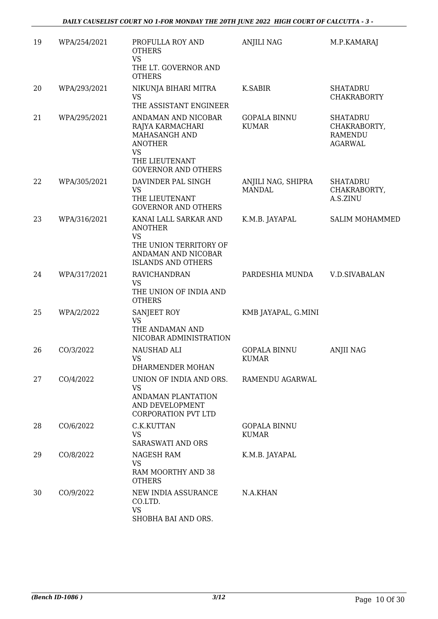| 19 | WPA/254/2021 | PROFULLA ROY AND                                                                                                                        | <b>ANJILI NAG</b>                   | M.P.KAMARAJ                                                         |
|----|--------------|-----------------------------------------------------------------------------------------------------------------------------------------|-------------------------------------|---------------------------------------------------------------------|
|    |              | <b>OTHERS</b><br><b>VS</b><br>THE LT. GOVERNOR AND                                                                                      |                                     |                                                                     |
|    |              | <b>OTHERS</b>                                                                                                                           |                                     |                                                                     |
| 20 | WPA/293/2021 | NIKUNJA BIHARI MITRA<br><b>VS</b><br>THE ASSISTANT ENGINEER                                                                             | K.SABIR                             | <b>SHATADRU</b><br><b>CHAKRABORTY</b>                               |
| 21 | WPA/295/2021 | ANDAMAN AND NICOBAR<br>RAJYA KARMACHARI<br>MAHASANGH AND<br><b>ANOTHER</b><br><b>VS</b><br>THE LIEUTENANT<br><b>GOVERNOR AND OTHERS</b> | <b>GOPALA BINNU</b><br><b>KUMAR</b> | <b>SHATADRU</b><br>CHAKRABORTY,<br><b>RAMENDU</b><br><b>AGARWAL</b> |
| 22 | WPA/305/2021 | DAVINDER PAL SINGH<br><b>VS</b><br>THE LIEUTENANT<br><b>GOVERNOR AND OTHERS</b>                                                         | ANJILI NAG, SHIPRA<br><b>MANDAL</b> | <b>SHATADRU</b><br>CHAKRABORTY,<br>A.S.ZINU                         |
| 23 | WPA/316/2021 | KANAI LALL SARKAR AND<br><b>ANOTHER</b>                                                                                                 | K.M.B. JAYAPAL                      | <b>SALIM MOHAMMED</b>                                               |
|    |              | <b>VS</b><br>THE UNION TERRITORY OF<br>ANDAMAN AND NICOBAR<br><b>ISLANDS AND OTHERS</b>                                                 |                                     |                                                                     |
| 24 | WPA/317/2021 | <b>RAVICHANDRAN</b><br><b>VS</b><br>THE UNION OF INDIA AND<br><b>OTHERS</b>                                                             | PARDESHIA MUNDA                     | <b>V.D.SIVABALAN</b>                                                |
| 25 | WPA/2/2022   | SANJEET ROY<br><b>VS</b><br>THE ANDAMAN AND<br>NICOBAR ADMINISTRATION                                                                   | KMB JAYAPAL, G.MINI                 |                                                                     |
| 26 | CO/3/2022    | NAUSHAD ALI<br><b>VS</b><br>DHARMENDER MOHAN                                                                                            | <b>GOPALA BINNU</b><br><b>KUMAR</b> | <b>ANJII NAG</b>                                                    |
| 27 | CO/4/2022    | UNION OF INDIA AND ORS.<br>VS.<br>ANDAMAN PLANTATION<br>AND DEVELOPMENT<br><b>CORPORATION PVT LTD</b>                                   | RAMENDU AGARWAL                     |                                                                     |
| 28 | CO/6/2022    | C.K.KUTTAN<br><b>VS</b><br><b>SARASWATI AND ORS</b>                                                                                     | <b>GOPALA BINNU</b><br><b>KUMAR</b> |                                                                     |
| 29 | CO/8/2022    | NAGESH RAM<br><b>VS</b><br>RAM MOORTHY AND 38<br><b>OTHERS</b>                                                                          | K.M.B. JAYAPAL                      |                                                                     |
| 30 | CO/9/2022    | NEW INDIA ASSURANCE<br>CO.LTD.<br><b>VS</b><br>SHOBHA BAI AND ORS.                                                                      | N.A.KHAN                            |                                                                     |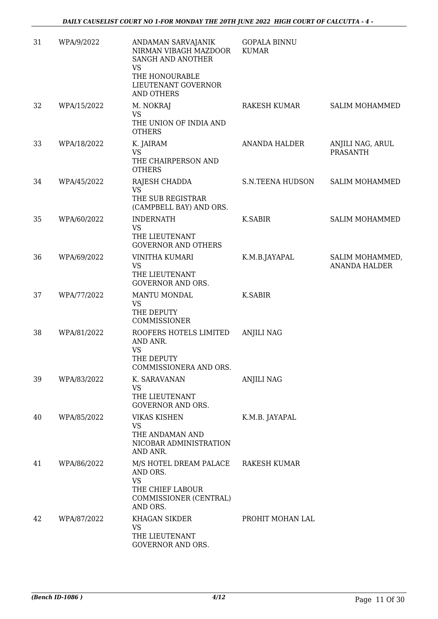| 31 | WPA/9/2022  | ANDAMAN SARVAJANIK<br>NIRMAN VIBAGH MAZDOOR<br>SANGH AND ANOTHER<br><b>VS</b>                             | <b>GOPALA BINNU</b><br><b>KUMAR</b> |                                         |
|----|-------------|-----------------------------------------------------------------------------------------------------------|-------------------------------------|-----------------------------------------|
|    |             | THE HONOURABLE<br>LIEUTENANT GOVERNOR<br><b>AND OTHERS</b>                                                |                                     |                                         |
| 32 | WPA/15/2022 | M. NOKRAJ<br><b>VS</b><br>THE UNION OF INDIA AND<br><b>OTHERS</b>                                         | RAKESH KUMAR                        | <b>SALIM MOHAMMED</b>                   |
| 33 | WPA/18/2022 | K. JAIRAM<br><b>VS</b><br>THE CHAIRPERSON AND<br><b>OTHERS</b>                                            | <b>ANANDA HALDER</b>                | ANJILI NAG, ARUL<br><b>PRASANTH</b>     |
| 34 | WPA/45/2022 | RAJESH CHADDA<br><b>VS</b><br>THE SUB REGISTRAR<br>(CAMPBELL BAY) AND ORS.                                | S.N.TEENA HUDSON                    | <b>SALIM MOHAMMED</b>                   |
| 35 | WPA/60/2022 | <b>INDERNATH</b><br><b>VS</b><br>THE LIEUTENANT<br><b>GOVERNOR AND OTHERS</b>                             | <b>K.SABIR</b>                      | <b>SALIM MOHAMMED</b>                   |
| 36 | WPA/69/2022 | VINITHA KUMARI<br><b>VS</b><br>THE LIEUTENANT<br><b>GOVERNOR AND ORS.</b>                                 | K.M.B.JAYAPAL                       | SALIM MOHAMMED,<br><b>ANANDA HALDER</b> |
| 37 | WPA/77/2022 | <b>MANTU MONDAL</b><br><b>VS</b><br>THE DEPUTY<br>COMMISSIONER                                            | <b>K.SABIR</b>                      |                                         |
| 38 | WPA/81/2022 | ROOFERS HOTELS LIMITED<br>AND ANR.<br><b>VS</b><br>THE DEPUTY<br>COMMISSIONERA AND ORS.                   | <b>ANJILI NAG</b>                   |                                         |
| 39 | WPA/83/2022 | K. SARAVANAN<br><b>VS</b><br>THE LIEUTENANT<br><b>GOVERNOR AND ORS.</b>                                   | <b>ANJILI NAG</b>                   |                                         |
| 40 | WPA/85/2022 | <b>VIKAS KISHEN</b><br><b>VS</b><br>THE ANDAMAN AND<br>NICOBAR ADMINISTRATION<br>AND ANR.                 | K.M.B. JAYAPAL                      |                                         |
| 41 | WPA/86/2022 | M/S HOTEL DREAM PALACE<br>AND ORS.<br><b>VS</b><br>THE CHIEF LABOUR<br>COMMISSIONER (CENTRAL)<br>AND ORS. | RAKESH KUMAR                        |                                         |
| 42 | WPA/87/2022 | KHAGAN SIKDER<br><b>VS</b><br>THE LIEUTENANT<br>GOVERNOR AND ORS.                                         | PROHIT MOHAN LAL                    |                                         |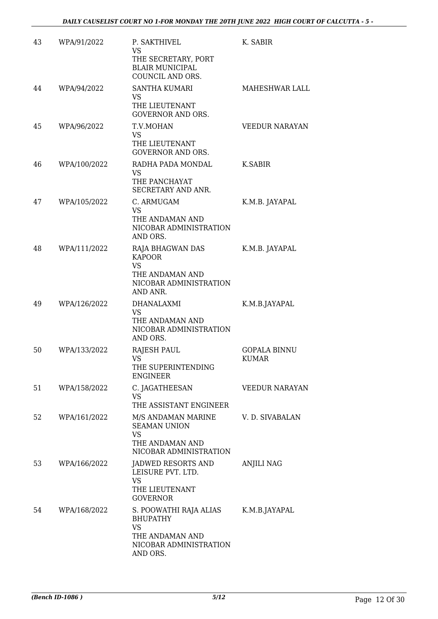| 43 | WPA/91/2022  | P. SAKTHIVEL<br><b>VS</b><br>THE SECRETARY, PORT<br><b>BLAIR MUNICIPAL</b><br>COUNCIL AND ORS.                  | K. SABIR                            |
|----|--------------|-----------------------------------------------------------------------------------------------------------------|-------------------------------------|
| 44 | WPA/94/2022  | <b>SANTHA KUMARI</b><br><b>VS</b><br>THE LIEUTENANT<br><b>GOVERNOR AND ORS.</b>                                 | MAHESHWAR LALL                      |
| 45 | WPA/96/2022  | T.V.MOHAN<br>VS.<br>THE LIEUTENANT<br><b>GOVERNOR AND ORS.</b>                                                  | <b>VEEDUR NARAYAN</b>               |
| 46 | WPA/100/2022 | RADHA PADA MONDAL<br><b>VS</b><br>THE PANCHAYAT<br>SECRETARY AND ANR.                                           | K.SABIR                             |
| 47 | WPA/105/2022 | C. ARMUGAM<br>VS<br>THE ANDAMAN AND<br>NICOBAR ADMINISTRATION<br>AND ORS.                                       | K.M.B. JAYAPAL                      |
| 48 | WPA/111/2022 | RAJA BHAGWAN DAS<br><b>KAPOOR</b><br><b>VS</b><br>THE ANDAMAN AND<br>NICOBAR ADMINISTRATION<br>AND ANR.         | K.M.B. JAYAPAL                      |
| 49 | WPA/126/2022 | DHANALAXMI<br><b>VS</b><br>THE ANDAMAN AND<br>NICOBAR ADMINISTRATION<br>AND ORS.                                | K.M.B.JAYAPAL                       |
| 50 | WPA/133/2022 | RAJESH PAUL<br><b>VS</b><br>THE SUPERINTENDING<br><b>ENGINEER</b>                                               | <b>GOPALA BINNU</b><br><b>KUMAR</b> |
| 51 | WPA/158/2022 | C. JAGATHEESAN<br><b>VS</b><br>THE ASSISTANT ENGINEER                                                           | <b>VEEDUR NARAYAN</b>               |
| 52 | WPA/161/2022 | M/S ANDAMAN MARINE<br><b>SEAMAN UNION</b><br><b>VS</b><br>THE ANDAMAN AND<br>NICOBAR ADMINISTRATION             | V. D. SIVABALAN                     |
| 53 | WPA/166/2022 | JADWED RESORTS AND<br>LEISURE PVT. LTD.<br>VS<br>THE LIEUTENANT<br><b>GOVERNOR</b>                              | <b>ANJILI NAG</b>                   |
| 54 | WPA/168/2022 | S. POOWATHI RAJA ALIAS<br><b>BHUPATHY</b><br><b>VS</b><br>THE ANDAMAN AND<br>NICOBAR ADMINISTRATION<br>AND ORS. | K.M.B.JAYAPAL                       |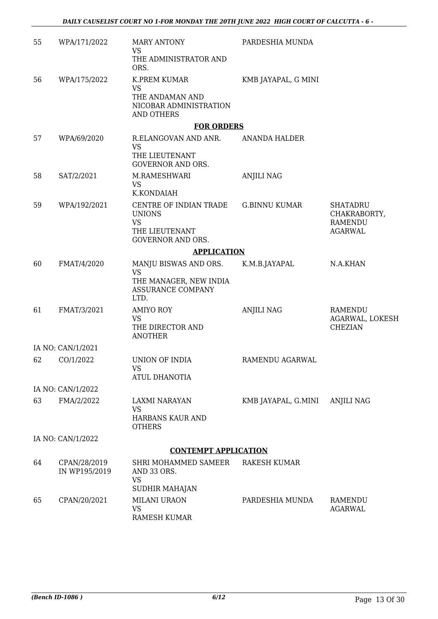| 55 | WPA/171/2022                  | <b>MARY ANTONY</b><br>VS<br>THE ADMINISTRATOR AND                                                  | PARDESHIA MUNDA      |                                                                     |
|----|-------------------------------|----------------------------------------------------------------------------------------------------|----------------------|---------------------------------------------------------------------|
|    |                               | ORS.                                                                                               |                      |                                                                     |
| 56 | WPA/175/2022                  | K.PREM KUMAR<br>VS<br>THE ANDAMAN AND<br>NICOBAR ADMINISTRATION<br><b>AND OTHERS</b>               | KMB JAYAPAL, G MINI  |                                                                     |
|    |                               | <b>FOR ORDERS</b>                                                                                  |                      |                                                                     |
| 57 | WPA/69/2020                   | R.ELANGOVAN AND ANR.<br><b>VS</b><br>THE LIEUTENANT<br><b>GOVERNOR AND ORS.</b>                    | <b>ANANDA HALDER</b> |                                                                     |
| 58 | SAT/2/2021                    | M.RAMESHWARI<br><b>VS</b><br>K.KONDAIAH                                                            | <b>ANJILI NAG</b>    |                                                                     |
| 59 | WPA/192/2021                  | CENTRE OF INDIAN TRADE<br><b>UNIONS</b><br><b>VS</b><br>THE LIEUTENANT<br><b>GOVERNOR AND ORS.</b> | <b>G.BINNU KUMAR</b> | <b>SHATADRU</b><br>CHAKRABORTY,<br><b>RAMENDU</b><br><b>AGARWAL</b> |
|    |                               | <b>APPLICATION</b>                                                                                 |                      |                                                                     |
| 60 | FMAT/4/2020                   | MANJU BISWAS AND ORS.<br><b>VS</b><br>THE MANAGER, NEW INDIA<br><b>ASSURANCE COMPANY</b><br>LTD.   | K.M.B.JAYAPAL        | N.A.KHAN                                                            |
| 61 | FMAT/3/2021                   | <b>AMIYO ROY</b><br><b>VS</b><br>THE DIRECTOR AND<br><b>ANOTHER</b>                                | <b>ANJILI NAG</b>    | <b>RAMENDU</b><br>AGARWAL, LOKESH<br><b>CHEZIAN</b>                 |
|    | IA NO: CAN/1/2021             |                                                                                                    |                      |                                                                     |
| 62 | CO/1/2022                     | UNION OF INDIA<br><b>VS</b><br><b>ATUL DHANOTIA</b>                                                | RAMENDU AGARWAL      |                                                                     |
|    | IA NO: CAN/1/2022             |                                                                                                    |                      |                                                                     |
| 63 | FMA/2/2022                    | LAXMI NARAYAN<br><b>VS</b><br>HARBANS KAUR AND<br><b>OTHERS</b>                                    | KMB JAYAPAL, G.MINI  | <b>ANJILI NAG</b>                                                   |
|    | IA NO: CAN/1/2022             |                                                                                                    |                      |                                                                     |
|    |                               | <b>CONTEMPT APPLICATION</b>                                                                        |                      |                                                                     |
| 64 | CPAN/28/2019<br>IN WP195/2019 | SHRI MOHAMMED SAMEER<br>AND 33 ORS.<br><b>VS</b><br>SUDHIR MAHAJAN                                 | RAKESH KUMAR         |                                                                     |
| 65 | CPAN/20/2021                  | MILANI URAON<br><b>VS</b><br>RAMESH KUMAR                                                          | PARDESHIA MUNDA      | <b>RAMENDU</b><br><b>AGARWAL</b>                                    |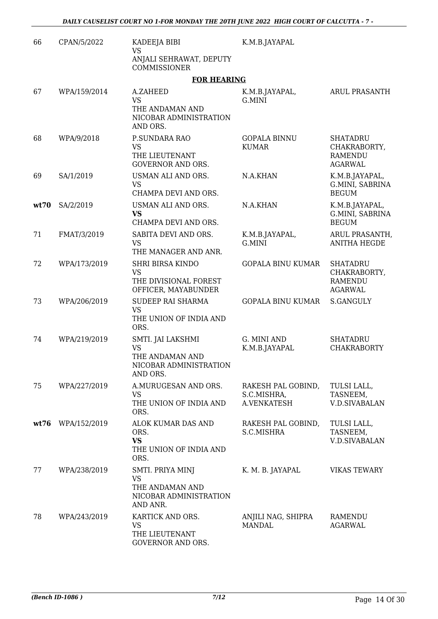| 66   | CPAN/5/2022  | KADEEJA BIBI<br><b>VS</b>                                                               | K.M.B.JAYAPAL                                    |                                                                     |
|------|--------------|-----------------------------------------------------------------------------------------|--------------------------------------------------|---------------------------------------------------------------------|
|      |              | ANJALI SEHRAWAT, DEPUTY<br>COMMISSIONER                                                 |                                                  |                                                                     |
|      |              | <b>FOR HEARING</b>                                                                      |                                                  |                                                                     |
| 67   | WPA/159/2014 | A.ZAHEED<br><b>VS</b><br>THE ANDAMAN AND<br>NICOBAR ADMINISTRATION<br>AND ORS.          | K.M.B.JAYAPAL,<br>G.MINI                         | <b>ARUL PRASANTH</b>                                                |
| 68   | WPA/9/2018   | P.SUNDARA RAO<br><b>VS</b><br>THE LIEUTENANT<br><b>GOVERNOR AND ORS.</b>                | <b>GOPALA BINNU</b><br><b>KUMAR</b>              | <b>SHATADRU</b><br>CHAKRABORTY,<br><b>RAMENDU</b><br><b>AGARWAL</b> |
| 69   | SA/1/2019    | USMAN ALI AND ORS.<br><b>VS</b><br>CHAMPA DEVI AND ORS.                                 | N.A.KHAN                                         | K.M.B.JAYAPAL,<br>G.MINI, SABRINA<br><b>BEGUM</b>                   |
| wt70 | SA/2/2019    | USMAN ALI AND ORS.<br><b>VS</b><br>CHAMPA DEVI AND ORS.                                 | N.A.KHAN                                         | K.M.B.JAYAPAL,<br>G.MINI, SABRINA<br><b>BEGUM</b>                   |
| 71   | FMAT/3/2019  | SABITA DEVI AND ORS.<br><b>VS</b><br>THE MANAGER AND ANR.                               | K.M.B.JAYAPAL,<br>G.MINI                         | ARUL PRASANTH,<br><b>ANITHA HEGDE</b>                               |
| 72   | WPA/173/2019 | <b>SHRI BIRSA KINDO</b><br><b>VS</b><br>THE DIVISIONAL FOREST<br>OFFICER, MAYABUNDER    | <b>GOPALA BINU KUMAR</b>                         | <b>SHATADRU</b><br>CHAKRABORTY,<br><b>RAMENDU</b><br><b>AGARWAL</b> |
| 73   | WPA/206/2019 | SUDEEP RAI SHARMA<br><b>VS</b><br>THE UNION OF INDIA AND<br>ORS.                        | <b>GOPALA BINU KUMAR</b>                         | S.GANGULY                                                           |
| 74   | WPA/219/2019 | SMTI. JAI LAKSHMI<br><b>VS</b><br>THE ANDAMAN AND<br>NICOBAR ADMINISTRATION<br>AND ORS. | G. MINI AND<br>K.M.B.JAYAPAL                     | <b>SHATADRU</b><br><b>CHAKRABORTY</b>                               |
| 75   | WPA/227/2019 | A.MURUGESAN AND ORS.<br><b>VS</b><br>THE UNION OF INDIA AND<br>ORS.                     | RAKESH PAL GOBIND,<br>S.C.MISHRA,<br>A.VENKATESH | TULSI LALL,<br>TASNEEM,<br><b>V.D.SIVABALAN</b>                     |
| wt76 | WPA/152/2019 | ALOK KUMAR DAS AND<br>ORS.<br><b>VS</b><br>THE UNION OF INDIA AND<br>ORS.               | RAKESH PAL GOBIND,<br>S.C.MISHRA                 | TULSI LALL,<br>TASNEEM,<br><b>V.D.SIVABALAN</b>                     |
| 77   | WPA/238/2019 | SMTI. PRIYA MINJ<br>VS<br>THE ANDAMAN AND<br>NICOBAR ADMINISTRATION<br>AND ANR.         | K. M. B. JAYAPAL                                 | <b>VIKAS TEWARY</b>                                                 |
| 78   | WPA/243/2019 | KARTICK AND ORS.<br>VS<br>THE LIEUTENANT<br>GOVERNOR AND ORS.                           | ANJILI NAG, SHIPRA<br><b>MANDAL</b>              | RAMENDU<br><b>AGARWAL</b>                                           |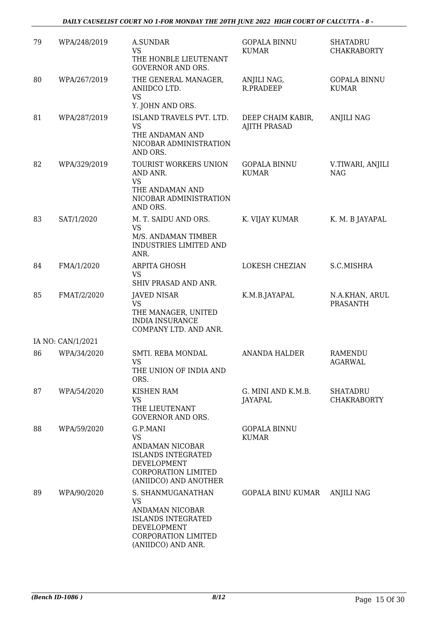| 79 | WPA/248/2019      | <b>A.SUNDAR</b><br><b>VS</b><br>THE HONBLE LIEUTENANT<br><b>GOVERNOR AND ORS.</b>                                                                 | <b>GOPALA BINNU</b><br>KUMAR             | <b>SHATADRU</b><br><b>CHAKRABORTY</b> |
|----|-------------------|---------------------------------------------------------------------------------------------------------------------------------------------------|------------------------------------------|---------------------------------------|
| 80 | WPA/267/2019      | THE GENERAL MANAGER,<br>ANIIDCO LTD.<br><b>VS</b>                                                                                                 | ANJILI NAG,<br>R.PRADEEP                 | <b>GOPALA BINNU</b><br><b>KUMAR</b>   |
| 81 | WPA/287/2019      | Y. JOHN AND ORS.<br>ISLAND TRAVELS PVT. LTD.<br><b>VS</b><br>THE ANDAMAN AND<br>NICOBAR ADMINISTRATION                                            | DEEP CHAIM KABIR,<br><b>AJITH PRASAD</b> | <b>ANJILI NAG</b>                     |
| 82 | WPA/329/2019      | AND ORS.<br>TOURIST WORKERS UNION<br>AND ANR.<br><b>VS</b>                                                                                        | <b>GOPALA BINNU</b><br><b>KUMAR</b>      | V.TIWARI, ANJILI<br><b>NAG</b>        |
|    |                   | THE ANDAMAN AND<br>NICOBAR ADMINISTRATION<br>AND ORS.                                                                                             |                                          |                                       |
| 83 | SAT/1/2020        | M. T. SAIDU AND ORS.<br><b>VS</b><br>M/S. ANDAMAN TIMBER<br>INDUSTRIES LIMITED AND<br>ANR.                                                        | K. VIJAY KUMAR                           | K. M. B JAYAPAL                       |
| 84 | FMA/1/2020        | ARPITA GHOSH<br><b>VS</b><br>SHIV PRASAD AND ANR.                                                                                                 | LOKESH CHEZIAN                           | S.C.MISHRA                            |
| 85 | FMAT/2/2020       | <b>JAVED NISAR</b><br><b>VS</b><br>THE MANAGER, UNITED<br><b>INDIA INSURANCE</b><br>COMPANY LTD. AND ANR.                                         | K.M.B.JAYAPAL                            | N.A.KHAN, ARUL<br><b>PRASANTH</b>     |
|    | IA NO: CAN/1/2021 |                                                                                                                                                   |                                          |                                       |
| 86 | WPA/34/2020       | SMTI. REBA MONDAL<br>VS<br>THE UNION OF INDIA AND<br>ORS.                                                                                         | <b>ANANDA HALDER</b>                     | RAMENDU<br>AGARWAL                    |
| 87 | WPA/54/2020       | KISHEN RAM<br><b>VS</b><br>THE LIEUTENANT<br><b>GOVERNOR AND ORS.</b>                                                                             | G. MINI AND K.M.B.<br>JAYAPAL            | <b>SHATADRU</b><br><b>CHAKRABORTY</b> |
| 88 | WPA/59/2020       | G.P.MANI<br><b>VS</b><br>ANDAMAN NICOBAR<br><b>ISLANDS INTEGRATED</b><br><b>DEVELOPMENT</b><br>CORPORATION LIMITED<br>(ANIIDCO) AND ANOTHER       | <b>GOPALA BINNU</b><br><b>KUMAR</b>      |                                       |
| 89 | WPA/90/2020       | S. SHANMUGANATHAN<br><b>VS</b><br>ANDAMAN NICOBAR<br><b>ISLANDS INTEGRATED</b><br><b>DEVELOPMENT</b><br>CORPORATION LIMITED<br>(ANIIDCO) AND ANR. | GOPALA BINU KUMAR                        | <b>ANJILI NAG</b>                     |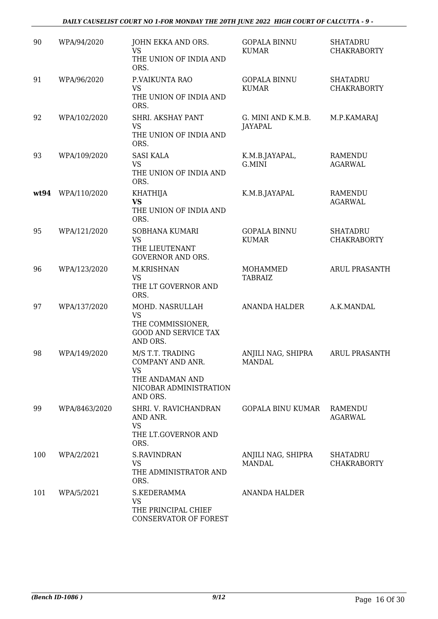| 90   | WPA/94/2020   | JOHN EKKA AND ORS.<br><b>VS</b><br>THE UNION OF INDIA AND<br>ORS.                                          | <b>GOPALA BINNU</b><br><b>KUMAR</b> | <b>SHATADRU</b><br><b>CHAKRABORTY</b> |
|------|---------------|------------------------------------------------------------------------------------------------------------|-------------------------------------|---------------------------------------|
| 91   | WPA/96/2020   | P.VAIKUNTA RAO<br><b>VS</b><br>THE UNION OF INDIA AND<br>ORS.                                              | <b>GOPALA BINNU</b><br><b>KUMAR</b> | <b>SHATADRU</b><br><b>CHAKRABORTY</b> |
| 92   | WPA/102/2020  | SHRI. AKSHAY PANT<br><b>VS</b><br>THE UNION OF INDIA AND<br>ORS.                                           | G. MINI AND K.M.B.<br>JAYAPAL       | M.P.KAMARAJ                           |
| 93   | WPA/109/2020  | <b>SASI KALA</b><br><b>VS</b><br>THE UNION OF INDIA AND<br>ORS.                                            | K.M.B.JAYAPAL,<br>G.MINI            | RAMENDU<br><b>AGARWAL</b>             |
| wt94 | WPA/110/2020  | <b>KHATHIJA</b><br><b>VS</b><br>THE UNION OF INDIA AND<br>ORS.                                             | K.M.B.JAYAPAL                       | <b>RAMENDU</b><br><b>AGARWAL</b>      |
| 95   | WPA/121/2020  | SOBHANA KUMARI<br><b>VS</b><br>THE LIEUTENANT<br><b>GOVERNOR AND ORS.</b>                                  | <b>GOPALA BINNU</b><br><b>KUMAR</b> | <b>SHATADRU</b><br><b>CHAKRABORTY</b> |
| 96   | WPA/123/2020  | M.KRISHNAN<br><b>VS</b><br>THE LT GOVERNOR AND<br>ORS.                                                     | MOHAMMED<br><b>TABRAIZ</b>          | <b>ARUL PRASANTH</b>                  |
| 97   | WPA/137/2020  | MOHD. NASRULLAH<br><b>VS</b><br>THE COMMISSIONER,<br><b>GOOD AND SERVICE TAX</b><br>AND ORS.               | <b>ANANDA HALDER</b>                | A.K.MANDAL                            |
| 98   | WPA/149/2020  | M/S T.T. TRADING<br>COMPANY AND ANR.<br><b>VS</b><br>THE ANDAMAN AND<br>NICOBAR ADMINISTRATION<br>AND ORS. | ANJILI NAG, SHIPRA<br>MANDAL        | <b>ARUL PRASANTH</b>                  |
| 99   | WPA/8463/2020 | SHRI. V. RAVICHANDRAN<br>AND ANR.<br><b>VS</b><br>THE LT.GOVERNOR AND<br>ORS.                              | GOPALA BINU KUMAR                   | RAMENDU<br><b>AGARWAL</b>             |
| 100  | WPA/2/2021    | <b>S.RAVINDRAN</b><br><b>VS</b><br>THE ADMINISTRATOR AND<br>ORS.                                           | ANJILI NAG, SHIPRA<br><b>MANDAL</b> | <b>SHATADRU</b><br><b>CHAKRABORTY</b> |
| 101  | WPA/5/2021    | S.KEDERAMMA<br>VS<br>THE PRINCIPAL CHIEF<br>CONSERVATOR OF FOREST                                          | <b>ANANDA HALDER</b>                |                                       |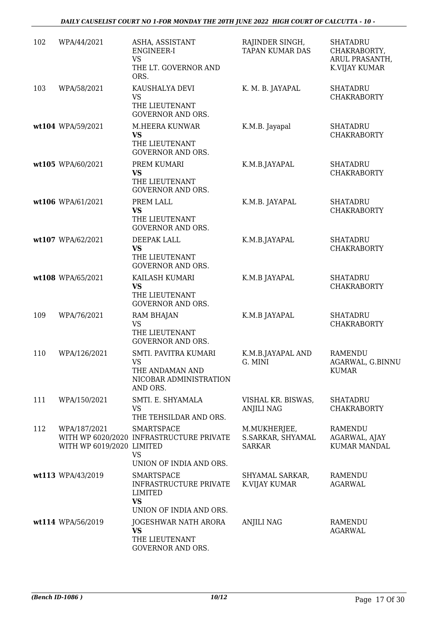DAILY CAUSELIST COURT NO 1-FOR MONDAY THE 20TH JUNE 2022 HIGH COURT OF CALCUTTA - 10 -

| 102 | WPA/44/2021                               | ASHA, ASSISTANT<br>ENGINEER-I<br><b>VS</b><br>THE LT. GOVERNOR AND<br>ORS.                                                       | RAJINDER SINGH,<br><b>TAPAN KUMAR DAS</b>   | <b>SHATADRU</b><br>CHAKRABORTY,<br>ARUL PRASANTH,<br>K.VIJAY KUMAR |
|-----|-------------------------------------------|----------------------------------------------------------------------------------------------------------------------------------|---------------------------------------------|--------------------------------------------------------------------|
| 103 | WPA/58/2021                               | KAUSHALYA DEVI<br><b>VS</b><br>THE LIEUTENANT<br><b>GOVERNOR AND ORS.</b>                                                        | K. M. B. JAYAPAL                            | <b>SHATADRU</b><br><b>CHAKRABORTY</b>                              |
|     | wt104 WPA/59/2021                         | M.HEERA KUNWAR<br><b>VS</b><br>THE LIEUTENANT<br><b>GOVERNOR AND ORS.</b>                                                        | K.M.B. Jayapal                              | <b>SHATADRU</b><br><b>CHAKRABORTY</b>                              |
|     | wt105 WPA/60/2021                         | PREM KUMARI<br><b>VS</b><br>THE LIEUTENANT<br><b>GOVERNOR AND ORS.</b>                                                           | K.M.B.JAYAPAL                               | <b>SHATADRU</b><br><b>CHAKRABORTY</b>                              |
|     | wt106 WPA/61/2021                         | PREM LALL<br><b>VS</b><br>THE LIEUTENANT<br><b>GOVERNOR AND ORS.</b>                                                             | K.M.B. JAYAPAL                              | <b>SHATADRU</b><br><b>CHAKRABORTY</b>                              |
|     | wt107 WPA/62/2021                         | DEEPAK LALL<br><b>VS</b><br>THE LIEUTENANT<br><b>GOVERNOR AND ORS.</b>                                                           | K.M.B.JAYAPAL                               | <b>SHATADRU</b><br><b>CHAKRABORTY</b>                              |
|     | wt108 WPA/65/2021                         | KAILASH KUMARI<br><b>VS</b><br>THE LIEUTENANT<br><b>GOVERNOR AND ORS.</b>                                                        | K.M.B JAYAPAL                               | <b>SHATADRU</b><br><b>CHAKRABORTY</b>                              |
| 109 | WPA/76/2021                               | <b>RAM BHAJAN</b><br><b>VS</b><br>THE LIEUTENANT<br><b>GOVERNOR AND ORS.</b>                                                     | K.M.B JAYAPAL                               | <b>SHATADRU</b><br><b>CHAKRABORTY</b>                              |
| 110 | WPA/126/2021                              | SMTI. PAVITRA KUMARI<br><b>VS</b><br>THE ANDAMAN AND<br>NICOBAR ADMINISTRATION<br>AND ORS.                                       | K.M.B.JAYAPAL AND<br>G. MINI                | <b>RAMENDU</b><br>AGARWAL, G.BINNU<br><b>KUMAR</b>                 |
| 111 | WPA/150/2021                              | SMTI. E. SHYAMALA<br><b>VS</b><br>THE TEHSILDAR AND ORS.                                                                         | VISHAL KR. BISWAS,<br><b>ANJILI NAG</b>     | <b>SHATADRU</b><br><b>CHAKRABORTY</b>                              |
| 112 | WPA/187/2021<br>WITH WP 6019/2020 LIMITED | <b>SMARTSPACE</b><br>WITH WP 6020/2020 INFRASTRUCTURE PRIVATE<br><b>VS</b>                                                       | M.MUKHERJEE,<br>S.SARKAR, SHYAMAL<br>SARKAR | RAMENDU<br>AGARWAL, AJAY<br><b>KUMAR MANDAL</b>                    |
|     | wt113 WPA/43/2019                         | UNION OF INDIA AND ORS.<br><b>SMARTSPACE</b><br><b>INFRASTRUCTURE PRIVATE</b><br>LIMITED<br><b>VS</b><br>UNION OF INDIA AND ORS. | SHYAMAL SARKAR,<br>K.VIJAY KUMAR            | RAMENDU<br><b>AGARWAL</b>                                          |
|     | wt114 WPA/56/2019                         | JOGESHWAR NATH ARORA<br>VS<br>THE LIEUTENANT<br><b>GOVERNOR AND ORS.</b>                                                         | <b>ANJILI NAG</b>                           | <b>RAMENDU</b><br><b>AGARWAL</b>                                   |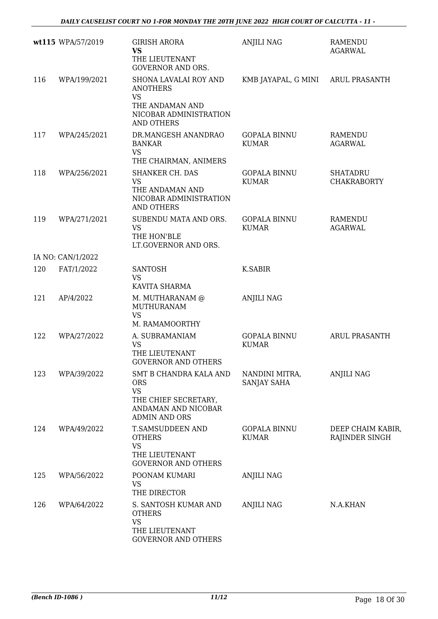|     | wt115 WPA/57/2019 | <b>GIRISH ARORA</b><br><b>VS</b><br>THE LIEUTENANT<br><b>GOVERNOR AND ORS.</b>                                           | <b>ANJILI NAG</b>                   | <b>RAMENDU</b><br><b>AGARWAL</b>      |
|-----|-------------------|--------------------------------------------------------------------------------------------------------------------------|-------------------------------------|---------------------------------------|
| 116 | WPA/199/2021      | SHONA LAVALAI ROY AND<br><b>ANOTHERS</b><br><b>VS</b><br>THE ANDAMAN AND<br>NICOBAR ADMINISTRATION<br><b>AND OTHERS</b>  | KMB JAYAPAL, G MINI ARUL PRASANTH   |                                       |
| 117 | WPA/245/2021      | DR.MANGESH ANANDRAO<br><b>BANKAR</b><br><b>VS</b><br>THE CHAIRMAN, ANIMERS                                               | <b>GOPALA BINNU</b><br><b>KUMAR</b> | RAMENDU<br><b>AGARWAL</b>             |
| 118 | WPA/256/2021      | <b>SHANKER CH. DAS</b><br><b>VS</b><br>THE ANDAMAN AND<br>NICOBAR ADMINISTRATION<br><b>AND OTHERS</b>                    | <b>GOPALA BINNU</b><br><b>KUMAR</b> | <b>SHATADRU</b><br><b>CHAKRABORTY</b> |
| 119 | WPA/271/2021      | SUBENDU MATA AND ORS.<br><b>VS</b><br>THE HON'BLE<br>LT.GOVERNOR AND ORS.                                                | <b>GOPALA BINNU</b><br><b>KUMAR</b> | RAMENDU<br><b>AGARWAL</b>             |
|     | IA NO: CAN/1/2022 |                                                                                                                          |                                     |                                       |
| 120 | FAT/1/2022        | <b>SANTOSH</b><br><b>VS</b><br>KAVITA SHARMA                                                                             | <b>K.SABIR</b>                      |                                       |
| 121 | AP/4/2022         | M. MUTHARANAM @<br>MUTHURANAM<br>VS<br>M. RAMAMOORTHY                                                                    | <b>ANJILI NAG</b>                   |                                       |
| 122 | WPA/27/2022       | A. SUBRAMANIAM<br><b>VS</b><br>THE LIEUTENANT<br><b>GOVERNOR AND OTHERS</b>                                              | <b>GOPALA BINNU</b><br><b>KUMAR</b> | <b>ARUL PRASANTH</b>                  |
| 123 | WPA/39/2022       | SMT B CHANDRA KALA AND<br><b>ORS</b><br><b>VS</b><br>THE CHIEF SECRETARY,<br>ANDAMAN AND NICOBAR<br><b>ADMIN AND ORS</b> | NANDINI MITRA,<br>SANJAY SAHA       | <b>ANJILI NAG</b>                     |
| 124 | WPA/49/2022       | T.SAMSUDDEEN AND<br><b>OTHERS</b><br><b>VS</b><br>THE LIEUTENANT<br><b>GOVERNOR AND OTHERS</b>                           | <b>GOPALA BINNU</b><br><b>KUMAR</b> | DEEP CHAIM KABIR,<br>RAJINDER SINGH   |
| 125 | WPA/56/2022       | POONAM KUMARI<br><b>VS</b><br>THE DIRECTOR                                                                               | <b>ANJILI NAG</b>                   |                                       |
| 126 | WPA/64/2022       | S. SANTOSH KUMAR AND<br><b>OTHERS</b><br><b>VS</b><br>THE LIEUTENANT<br><b>GOVERNOR AND OTHERS</b>                       | <b>ANJILI NAG</b>                   | N.A.KHAN                              |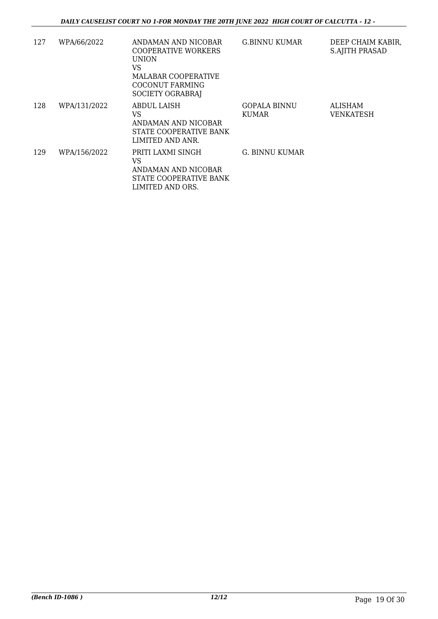| 127 | WPA/66/2022  | ANDAMAN AND NICOBAR<br><b>COOPERATIVE WORKERS</b><br><b>UNION</b><br>VS<br>MALABAR COOPERATIVE<br><b>COCONUT FARMING</b><br>SOCIETY OGRABRAJ | <b>G.BINNU KUMAR</b>                | DEEP CHAIM KABIR,<br><b>S.AJITH PRASAD</b> |
|-----|--------------|----------------------------------------------------------------------------------------------------------------------------------------------|-------------------------------------|--------------------------------------------|
| 128 | WPA/131/2022 | ABDUL LAISH<br>VS<br>ANDAMAN AND NICOBAR<br>STATE COOPERATIVE BANK<br>LIMITED AND ANR.                                                       | <b>GOPALA BINNU</b><br><b>KUMAR</b> | ALISHAM<br>VENKATESH                       |
| 129 | WPA/156/2022 | PRITI LAXMI SINGH<br>VS<br>ANDAMAN AND NICOBAR<br>STATE COOPERATIVE BANK<br>LIMITED AND ORS.                                                 | G. BINNU KUMAR                      |                                            |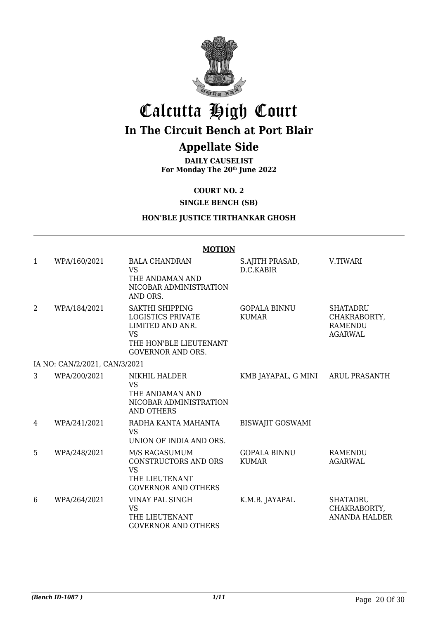

## Calcutta High Court **In The Circuit Bench at Port Blair**

### **Appellate Side**

**DAILY CAUSELIST For Monday The 20th June 2022**

**COURT NO. 2**

**SINGLE BENCH (SB)**

### **HON'BLE JUSTICE TIRTHANKAR GHOSH**

|                | <b>MOTION</b>                 |                                                                                                                                    |                                     |                                                                     |  |
|----------------|-------------------------------|------------------------------------------------------------------------------------------------------------------------------------|-------------------------------------|---------------------------------------------------------------------|--|
| $\mathbf{1}$   | WPA/160/2021                  | <b>BALA CHANDRAN</b><br><b>VS</b><br>THE ANDAMAN AND<br>NICOBAR ADMINISTRATION<br>AND ORS.                                         | S.AJITH PRASAD,<br>D.C.KABIR        | V.TIWARI                                                            |  |
| $\overline{2}$ | WPA/184/2021                  | SAKTHI SHIPPING<br><b>LOGISTICS PRIVATE</b><br>LIMITED AND ANR.<br><b>VS</b><br>THE HON'BLE LIEUTENANT<br><b>GOVERNOR AND ORS.</b> | <b>GOPALA BINNU</b><br><b>KUMAR</b> | <b>SHATADRU</b><br>CHAKRABORTY,<br><b>RAMENDU</b><br><b>AGARWAL</b> |  |
|                | IA NO: CAN/2/2021, CAN/3/2021 |                                                                                                                                    |                                     |                                                                     |  |
| 3              | WPA/200/2021                  | NIKHIL HALDER<br><b>VS</b><br>THE ANDAMAN AND<br>NICOBAR ADMINISTRATION<br>AND OTHERS                                              | KMB JAYAPAL, G MINI ARUL PRASANTH   |                                                                     |  |
| 4              | WPA/241/2021                  | RADHA KANTA MAHANTA<br><b>VS</b><br>UNION OF INDIA AND ORS.                                                                        | <b>BISWAJIT GOSWAMI</b>             |                                                                     |  |
| 5              | WPA/248/2021                  | M/S RAGASUMUM<br>CONSTRUCTORS AND ORS<br><b>VS</b><br>THE LIEUTENANT<br><b>GOVERNOR AND OTHERS</b>                                 | <b>GOPALA BINNU</b><br><b>KUMAR</b> | <b>RAMENDU</b><br><b>AGARWAL</b>                                    |  |
| 6              | WPA/264/2021                  | VINAY PAL SINGH<br><b>VS</b><br>THE LIEUTENANT<br><b>GOVERNOR AND OTHERS</b>                                                       | K.M.B. JAYAPAL                      | <b>SHATADRU</b><br>CHAKRABORTY,<br><b>ANANDA HALDER</b>             |  |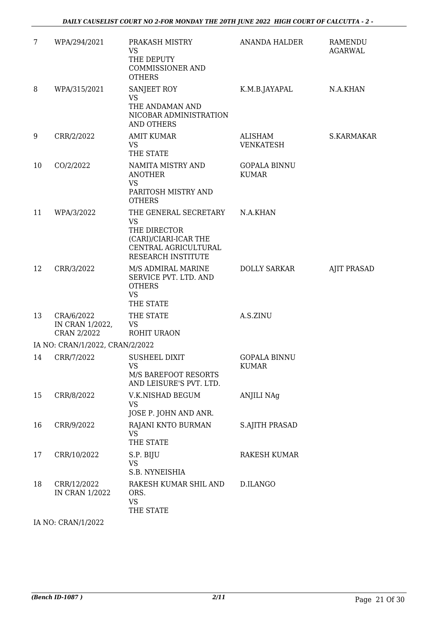| $\overline{7}$ | WPA/294/2021                                 | PRAKASH MISTRY<br><b>VS</b><br>THE DEPUTY<br><b>COMMISSIONER AND</b><br><b>OTHERS</b>                                     | <b>ANANDA HALDER</b>                | RAMENDU<br><b>AGARWAL</b> |
|----------------|----------------------------------------------|---------------------------------------------------------------------------------------------------------------------------|-------------------------------------|---------------------------|
| 8              | WPA/315/2021                                 | SANJEET ROY<br><b>VS</b><br>THE ANDAMAN AND<br>NICOBAR ADMINISTRATION<br><b>AND OTHERS</b>                                | K.M.B.JAYAPAL                       | N.A.KHAN                  |
| 9              | CRR/2/2022                                   | <b>AMIT KUMAR</b><br>VS<br>THE STATE                                                                                      | <b>ALISHAM</b><br><b>VENKATESH</b>  | S.KARMAKAR                |
| 10             | CO/2/2022                                    | NAMITA MISTRY AND<br><b>ANOTHER</b><br><b>VS</b><br>PARITOSH MISTRY AND<br><b>OTHERS</b>                                  | <b>GOPALA BINNU</b><br><b>KUMAR</b> |                           |
| 11             | WPA/3/2022                                   | THE GENERAL SECRETARY<br><b>VS</b><br>THE DIRECTOR<br>(CARI)/CIARI-ICAR THE<br>CENTRAL AGRICULTURAL<br>RESEARCH INSTITUTE | N.A.KHAN                            |                           |
| 12             | CRR/3/2022                                   | M/S ADMIRAL MARINE<br>SERVICE PVT. LTD. AND<br><b>OTHERS</b><br><b>VS</b><br>THE STATE                                    | <b>DOLLY SARKAR</b>                 | <b>AJIT PRASAD</b>        |
| 13             | CRA/6/2022<br>IN CRAN 1/2022,<br>CRAN 2/2022 | THE STATE<br><b>VS</b><br>ROHIT URAON                                                                                     | A.S.ZINU                            |                           |
|                | IA NO: CRAN/1/2022, CRAN/2/2022              |                                                                                                                           |                                     |                           |
| 14             | CRR/7/2022                                   | <b>SUSHEEL DIXIT</b><br><b>VS</b><br>M/S BAREFOOT RESORTS<br>AND LEISURE'S PVT. LTD.                                      | <b>GOPALA BINNU</b><br><b>KUMAR</b> |                           |
| 15             | CRR/8/2022                                   | V.K.NISHAD BEGUM<br><b>VS</b><br>JOSE P. JOHN AND ANR.                                                                    | <b>ANJILI NAg</b>                   |                           |
| 16             | CRR/9/2022                                   | RAJANI KNTO BURMAN<br><b>VS</b><br>THE STATE                                                                              | <b>S.AJITH PRASAD</b>               |                           |
| 17             | CRR/10/2022                                  | S.P. BIJU<br><b>VS</b><br>S.B. NYNEISHIA                                                                                  | RAKESH KUMAR                        |                           |
| 18             | CRR/12/2022<br><b>IN CRAN 1/2022</b>         | RAKESH KUMAR SHIL AND<br>ORS.<br><b>VS</b><br>THE STATE                                                                   | D.ILANGO                            |                           |
|                |                                              |                                                                                                                           |                                     |                           |

IA NO: CRAN/1/2022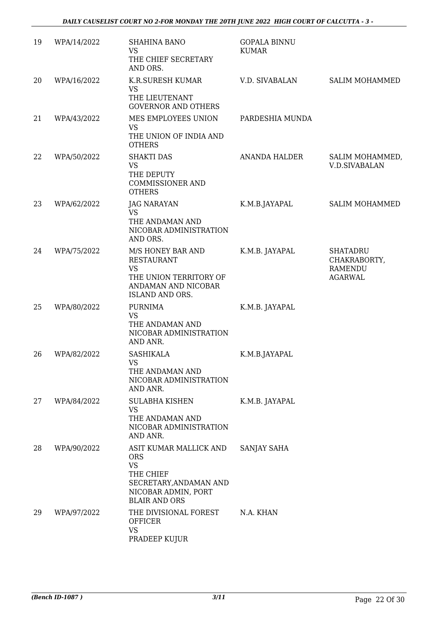| 19 | WPA/14/2022 | <b>SHAHINA BANO</b><br><b>VS</b><br>THE CHIEF SECRETARY<br>AND ORS.                                                                     | <b>GOPALA BINNU</b><br><b>KUMAR</b> |                                                                     |
|----|-------------|-----------------------------------------------------------------------------------------------------------------------------------------|-------------------------------------|---------------------------------------------------------------------|
| 20 | WPA/16/2022 | K.R.SURESH KUMAR<br><b>VS</b><br>THE LIEUTENANT<br><b>GOVERNOR AND OTHERS</b>                                                           | V.D. SIVABALAN                      | <b>SALIM MOHAMMED</b>                                               |
| 21 | WPA/43/2022 | MES EMPLOYEES UNION<br><b>VS</b><br>THE UNION OF INDIA AND<br><b>OTHERS</b>                                                             | PARDESHIA MUNDA                     |                                                                     |
| 22 | WPA/50/2022 | <b>SHAKTI DAS</b><br><b>VS</b><br>THE DEPUTY<br><b>COMMISSIONER AND</b><br><b>OTHERS</b>                                                | ANANDA HALDER                       | SALIM MOHAMMED,<br><b>V.D.SIVABALAN</b>                             |
| 23 | WPA/62/2022 | <b>JAG NARAYAN</b><br><b>VS</b><br>THE ANDAMAN AND<br>NICOBAR ADMINISTRATION<br>AND ORS.                                                | K.M.B.JAYAPAL                       | <b>SALIM MOHAMMED</b>                                               |
| 24 | WPA/75/2022 | M/S HONEY BAR AND<br><b>RESTAURANT</b><br><b>VS</b><br>THE UNION TERRITORY OF<br>ANDAMAN AND NICOBAR<br><b>ISLAND AND ORS.</b>          | K.M.B. JAYAPAL                      | <b>SHATADRU</b><br>CHAKRABORTY,<br><b>RAMENDU</b><br><b>AGARWAL</b> |
| 25 | WPA/80/2022 | <b>PURNIMA</b><br><b>VS</b><br>THE ANDAMAN AND<br>NICOBAR ADMINISTRATION<br>AND ANR.                                                    | K.M.B. JAYAPAL                      |                                                                     |
| 26 | WPA/82/2022 | <b>SASHIKALA</b><br>VS.<br>THE ANDAMAN AND<br>NICOBAR ADMINISTRATION<br>AND ANR.                                                        | K.M.B.JAYAPAL                       |                                                                     |
| 27 | WPA/84/2022 | <b>SULABHA KISHEN</b><br><b>VS</b><br>THE ANDAMAN AND<br>NICOBAR ADMINISTRATION<br>AND ANR.                                             | K.M.B. JAYAPAL                      |                                                                     |
| 28 | WPA/90/2022 | ASIT KUMAR MALLICK AND<br><b>ORS</b><br><b>VS</b><br>THE CHIEF<br>SECRETARY, ANDAMAN AND<br>NICOBAR ADMIN, PORT<br><b>BLAIR AND ORS</b> | SANJAY SAHA                         |                                                                     |
| 29 | WPA/97/2022 | THE DIVISIONAL FOREST<br><b>OFFICER</b><br><b>VS</b><br>PRADEEP KUJUR                                                                   | N.A. KHAN                           |                                                                     |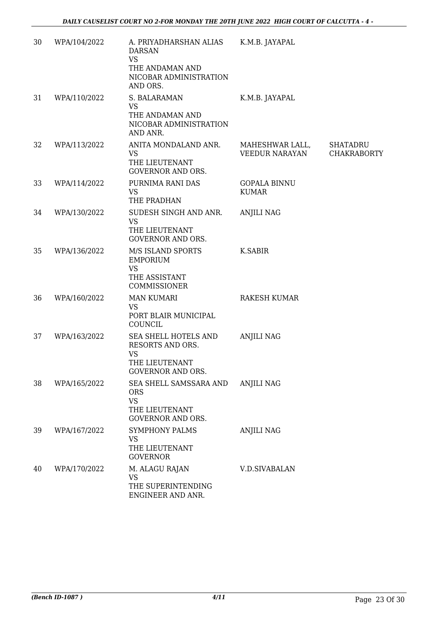| 30 | WPA/104/2022 | A. PRIYADHARSHAN ALIAS<br><b>DARSAN</b><br><b>VS</b><br>THE ANDAMAN AND<br>NICOBAR ADMINISTRATION<br>AND ORS. | K.M.B. JAYAPAL                      |                                       |
|----|--------------|---------------------------------------------------------------------------------------------------------------|-------------------------------------|---------------------------------------|
| 31 | WPA/110/2022 | S. BALARAMAN<br><b>VS</b><br>THE ANDAMAN AND<br>NICOBAR ADMINISTRATION<br>AND ANR.                            | K.M.B. JAYAPAL                      |                                       |
| 32 | WPA/113/2022 | ANITA MONDALAND ANR.<br><b>VS</b><br>THE LIEUTENANT<br><b>GOVERNOR AND ORS.</b>                               | MAHESHWAR LALL,<br>VEEDUR NARAYAN   | <b>SHATADRU</b><br><b>CHAKRABORTY</b> |
| 33 | WPA/114/2022 | PURNIMA RANI DAS<br>VS.<br>THE PRADHAN                                                                        | <b>GOPALA BINNU</b><br><b>KUMAR</b> |                                       |
| 34 | WPA/130/2022 | SUDESH SINGH AND ANR.<br><b>VS</b><br>THE LIEUTENANT<br><b>GOVERNOR AND ORS.</b>                              | <b>ANJILI NAG</b>                   |                                       |
| 35 | WPA/136/2022 | M/S ISLAND SPORTS<br><b>EMPORIUM</b><br><b>VS</b><br>THE ASSISTANT<br>COMMISSIONER                            | K.SABIR                             |                                       |
| 36 | WPA/160/2022 | <b>MAN KUMARI</b><br><b>VS</b><br>PORT BLAIR MUNICIPAL<br>COUNCIL                                             | RAKESH KUMAR                        |                                       |
| 37 | WPA/163/2022 | SEA SHELL HOTELS AND<br>RESORTS AND ORS.<br><b>VS</b><br>THE LIEUTENANT<br><b>GOVERNOR AND ORS.</b>           | <b>ANJILI NAG</b>                   |                                       |
| 38 | WPA/165/2022 | SEA SHELL SAMSSARA AND<br><b>ORS</b><br><b>VS</b><br>THE LIEUTENANT<br><b>GOVERNOR AND ORS.</b>               | <b>ANJILI NAG</b>                   |                                       |
| 39 | WPA/167/2022 | SYMPHONY PALMS<br><b>VS</b><br>THE LIEUTENANT<br><b>GOVERNOR</b>                                              | <b>ANJILI NAG</b>                   |                                       |
| 40 | WPA/170/2022 | M. ALAGU RAJAN<br><b>VS</b><br>THE SUPERINTENDING<br>ENGINEER AND ANR.                                        | V.D.SIVABALAN                       |                                       |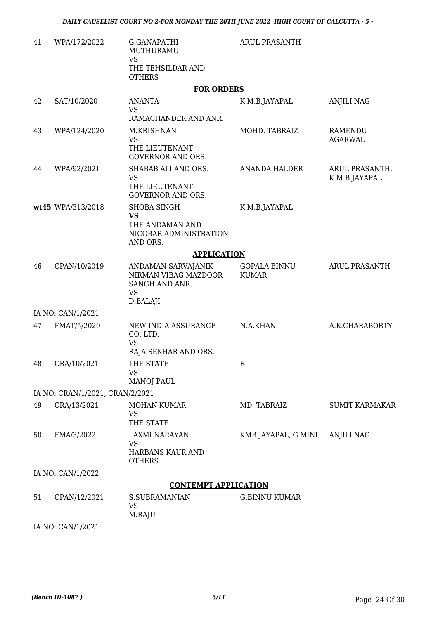| 41 | WPA/172/2022                    | G.GANAPATHI<br>MUTHURAMU<br><b>VS</b><br>THE TEHSILDAR AND<br><b>OTHERS</b>              | <b>ARUL PRASANTH</b>                |                                 |
|----|---------------------------------|------------------------------------------------------------------------------------------|-------------------------------------|---------------------------------|
|    |                                 | <b>FOR ORDERS</b>                                                                        |                                     |                                 |
| 42 | SAT/10/2020                     | <b>ANANTA</b><br><b>VS</b><br>RAMACHANDER AND ANR.                                       | K.M.B.JAYAPAL                       | <b>ANJILI NAG</b>               |
| 43 | WPA/124/2020                    | M.KRISHNAN<br><b>VS</b><br>THE LIEUTENANT<br><b>GOVERNOR AND ORS.</b>                    | MOHD. TABRAIZ                       | RAMENDU<br><b>AGARWAL</b>       |
| 44 | WPA/92/2021                     | SHABAB ALI AND ORS.<br><b>VS</b><br>THE LIEUTENANT<br><b>GOVERNOR AND ORS.</b>           | <b>ANANDA HALDER</b>                | ARUL PRASANTH,<br>K.M.B.JAYAPAL |
|    | wt45 WPA/313/2018               | <b>SHOBA SINGH</b><br><b>VS</b><br>THE ANDAMAN AND<br>NICOBAR ADMINISTRATION<br>AND ORS. | K.M.B.JAYAPAL                       |                                 |
|    |                                 | <b>APPLICATION</b>                                                                       |                                     |                                 |
| 46 | CPAN/10/2019                    | ANDAMAN SARVAJANIK<br>NIRMAN VIBAG MAZDOOR<br>SANGH AND ANR.<br><b>VS</b><br>D.BALAJI    | <b>GOPALA BINNU</b><br><b>KUMAR</b> | <b>ARUL PRASANTH</b>            |
|    | IA NO: CAN/1/2021               |                                                                                          |                                     |                                 |
| 47 | FMAT/5/2020                     | NEW INDIA ASSURANCE<br>CO. LTD.<br><b>VS</b>                                             | N.A.KHAN                            | A.K.CHARABORTY                  |
|    |                                 | RAJA SEKHAR AND ORS.                                                                     |                                     |                                 |
| 48 | CRA/10/2021                     | THE STATE<br><b>VS</b><br><b>MANOJ PAUL</b>                                              | R                                   |                                 |
|    | IA NO: CRAN/1/2021, CRAN/2/2021 |                                                                                          |                                     |                                 |
| 49 | CRA/13/2021                     | <b>MOHAN KUMAR</b><br><b>VS</b><br>THE STATE                                             | MD. TABRAIZ                         | <b>SUMIT KARMAKAR</b>           |
| 50 | FMA/3/2022                      | LAXMI NARAYAN<br><b>VS</b><br>HARBANS KAUR AND<br><b>OTHERS</b>                          | KMB JAYAPAL, G.MINI                 | <b>ANJILI NAG</b>               |
|    | IA NO: CAN/1/2022               |                                                                                          |                                     |                                 |
|    |                                 | <b>CONTEMPT APPLICATION</b>                                                              |                                     |                                 |
| 51 | CPAN/12/2021                    | <b>S.SUBRAMANIAN</b><br><b>VS</b><br>M.RAJU                                              | <b>G.BINNU KUMAR</b>                |                                 |
|    | IA NO: CAN/1/2021               |                                                                                          |                                     |                                 |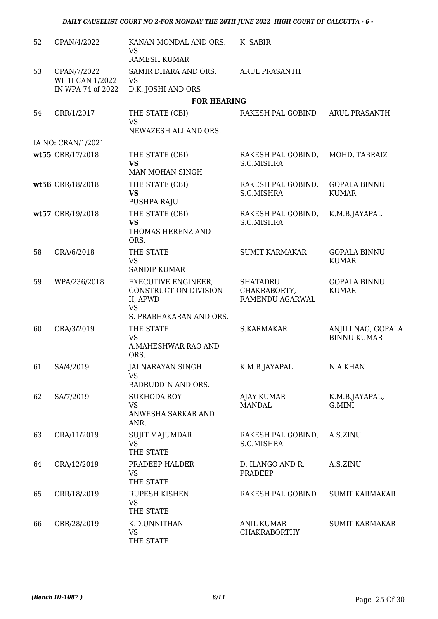| 52 | CPAN/4/2022                                                | KANAN MONDAL AND ORS.<br><b>VS</b><br><b>RAMESH KUMAR</b>                                                | K. SABIR                                           |                                          |
|----|------------------------------------------------------------|----------------------------------------------------------------------------------------------------------|----------------------------------------------------|------------------------------------------|
| 53 | CPAN/7/2022<br><b>WITH CAN 1/2022</b><br>IN WPA 74 of 2022 | SAMIR DHARA AND ORS.<br>VS<br>D.K. JOSHI AND ORS                                                         | <b>ARUL PRASANTH</b>                               |                                          |
|    |                                                            | <b>FOR HEARING</b>                                                                                       |                                                    |                                          |
| 54 | CRR/1/2017                                                 | THE STATE (CBI)<br><b>VS</b><br>NEWAZESH ALI AND ORS.                                                    | RAKESH PAL GOBIND                                  | <b>ARUL PRASANTH</b>                     |
|    | IA NO: CRAN/1/2021                                         |                                                                                                          |                                                    |                                          |
|    | wt55 CRR/17/2018                                           | THE STATE (CBI)<br><b>VS</b><br>MAN MOHAN SINGH                                                          | RAKESH PAL GOBIND,<br>S.C.MISHRA                   | MOHD. TABRAIZ                            |
|    | wt56 CRR/18/2018                                           | THE STATE (CBI)<br><b>VS</b><br>PUSHPA RAJU                                                              | RAKESH PAL GOBIND,<br>S.C.MISHRA                   | <b>GOPALA BINNU</b><br><b>KUMAR</b>      |
|    | wt57 CRR/19/2018                                           | THE STATE (CBI)<br><b>VS</b><br>THOMAS HERENZ AND<br>ORS.                                                | RAKESH PAL GOBIND,<br>S.C.MISHRA                   | K.M.B.JAYAPAL                            |
| 58 | CRA/6/2018                                                 | THE STATE<br><b>VS</b><br><b>SANDIP KUMAR</b>                                                            | <b>SUMIT KARMAKAR</b>                              | <b>GOPALA BINNU</b><br><b>KUMAR</b>      |
| 59 | WPA/236/2018                                               | <b>EXECUTIVE ENGINEER,</b><br>CONSTRUCTION DIVISION-<br>II, APWD<br><b>VS</b><br>S. PRABHAKARAN AND ORS. | <b>SHATADRU</b><br>CHAKRABORTY,<br>RAMENDU AGARWAL | <b>GOPALA BINNU</b><br><b>KUMAR</b>      |
| 60 | CRA/3/2019                                                 | THE STATE<br><b>VS</b><br><b>A.MAHESHWAR RAO AND</b><br>ORS.                                             | <b>S.KARMAKAR</b>                                  | ANJILI NAG, GOPALA<br><b>BINNU KUMAR</b> |
|    | 61 SA/4/2019                                               | <b>JAI NARAYAN SINGH</b><br><b>VS</b><br>BADRUDDIN AND ORS.                                              | K.M.B.JAYAPAL                                      | N.A.KHAN                                 |
| 62 | SA/7/2019                                                  | <b>SUKHODA ROY</b><br><b>VS</b><br>ANWESHA SARKAR AND<br>ANR.                                            | AJAY KUMAR<br><b>MANDAL</b>                        | K.M.B.JAYAPAL,<br>G.MINI                 |
| 63 | CRA/11/2019                                                | <b>SUJIT MAJUMDAR</b><br><b>VS</b><br>THE STATE                                                          | RAKESH PAL GOBIND,<br>S.C.MISHRA                   | A.S.ZINU                                 |
| 64 | CRA/12/2019                                                | PRADEEP HALDER<br><b>VS</b><br>THE STATE                                                                 | D. ILANGO AND R.<br>PRADEEP                        | A.S.ZINU                                 |
| 65 | CRR/18/2019                                                | RUPESH KISHEN<br><b>VS</b><br>THE STATE                                                                  | RAKESH PAL GOBIND                                  | <b>SUMIT KARMAKAR</b>                    |
| 66 | CRR/28/2019                                                | K.D.UNNITHAN<br><b>VS</b><br>THE STATE                                                                   | <b>ANIL KUMAR</b><br><b>CHAKRABORTHY</b>           | <b>SUMIT KARMAKAR</b>                    |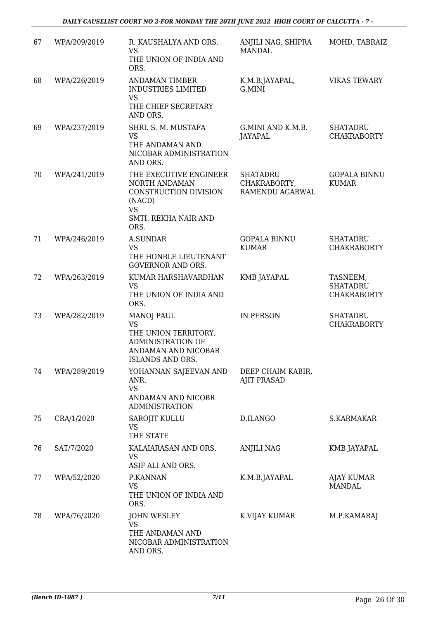| 67 | WPA/209/2019 | R. KAUSHALYA AND ORS.<br><b>VS</b><br>THE UNION OF INDIA AND<br>ORS.                                                          | ANJILI NAG, SHIPRA<br><b>MANDAL</b>                | MOHD. TABRAIZ                                     |
|----|--------------|-------------------------------------------------------------------------------------------------------------------------------|----------------------------------------------------|---------------------------------------------------|
| 68 | WPA/226/2019 | <b>ANDAMAN TIMBER</b><br><b>INDUSTRIES LIMITED</b><br><b>VS</b><br>THE CHIEF SECRETARY                                        | K.M.B.JAYAPAL,<br>G.MINI                           | <b>VIKAS TEWARY</b>                               |
| 69 | WPA/237/2019 | AND ORS.<br>SHRI. S. M. MUSTAFA<br><b>VS</b><br>THE ANDAMAN AND<br>NICOBAR ADMINISTRATION<br>AND ORS.                         | G.MINI AND K.M.B.<br><b>JAYAPAL</b>                | <b>SHATADRU</b><br><b>CHAKRABORTY</b>             |
| 70 | WPA/241/2019 | THE EXECUTIVE ENGINEER<br>NORTH ANDAMAN<br>CONSTRUCTION DIVISION<br>(NACD)<br><b>VS</b><br>SMTI. REKHA NAIR AND<br>ORS.       | <b>SHATADRU</b><br>CHAKRABORTY,<br>RAMENDU AGARWAL | <b>GOPALA BINNU</b><br><b>KUMAR</b>               |
| 71 | WPA/246/2019 | <b>A.SUNDAR</b><br><b>VS</b><br>THE HONBLE LIEUTENANT<br><b>GOVERNOR AND ORS.</b>                                             | <b>GOPALA BINNU</b><br><b>KUMAR</b>                | <b>SHATADRU</b><br><b>CHAKRABORTY</b>             |
| 72 | WPA/263/2019 | KUMAR HARSHAVARDHAN<br><b>VS</b><br>THE UNION OF INDIA AND<br>ORS.                                                            | <b>KMB JAYAPAL</b>                                 | TASNEEM,<br><b>SHATADRU</b><br><b>CHAKRABORTY</b> |
| 73 | WPA/282/2019 | <b>MANOJ PAUL</b><br><b>VS</b><br>THE UNION TERRITORY,<br><b>ADMINISTRATION OF</b><br>ANDAMAN AND NICOBAR<br>ISLANDS AND ORS. | IN PERSON                                          | <b>SHATADRU</b><br><b>CHAKRABORTY</b>             |
| 74 | WPA/289/2019 | YOHANNAN SAJEEVAN AND<br>ANR.<br><b>VS</b><br>ANDAMAN AND NICOBR<br><b>ADMINISTRATION</b>                                     | DEEP CHAIM KABIR,<br><b>AJIT PRASAD</b>            |                                                   |
| 75 | CRA/1/2020   | SAROJIT KULLU<br><b>VS</b><br>THE STATE                                                                                       | D.ILANGO                                           | S.KARMAKAR                                        |
| 76 | SAT/7/2020   | KALAIARASAN AND ORS.<br><b>VS</b><br>ASIF ALI AND ORS.                                                                        | ANJILI NAG                                         | KMB JAYAPAL                                       |
| 77 | WPA/52/2020  | P.KANNAN<br><b>VS</b><br>THE UNION OF INDIA AND<br>ORS.                                                                       | K.M.B.JAYAPAL                                      | AJAY KUMAR<br><b>MANDAL</b>                       |
| 78 | WPA/76/2020  | <b>JOHN WESLEY</b><br><b>VS</b><br>THE ANDAMAN AND<br>NICOBAR ADMINISTRATION<br>AND ORS.                                      | K.VIJAY KUMAR                                      | M.P.KAMARAJ                                       |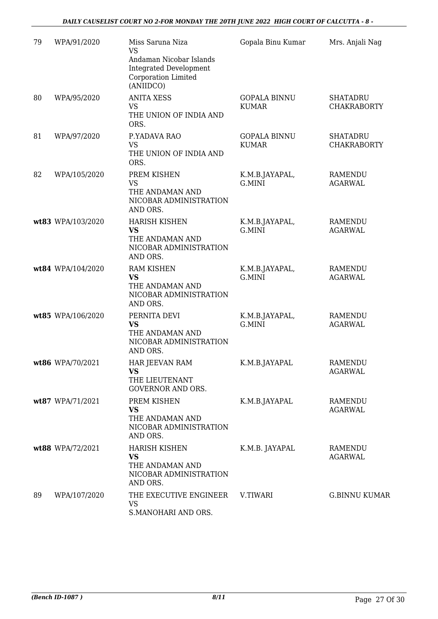| 79 | WPA/91/2020       | Miss Saruna Niza<br><b>VS</b>                                                                | Gopala Binu Kumar                   | Mrs. Anjali Nag                       |
|----|-------------------|----------------------------------------------------------------------------------------------|-------------------------------------|---------------------------------------|
|    |                   | Andaman Nicobar Islands<br><b>Integrated Development</b><br>Corporation Limited<br>(ANIIDCO) |                                     |                                       |
| 80 | WPA/95/2020       | <b>ANITA XESS</b><br><b>VS</b><br>THE UNION OF INDIA AND<br>ORS.                             | <b>GOPALA BINNU</b><br><b>KUMAR</b> | <b>SHATADRU</b><br><b>CHAKRABORTY</b> |
| 81 | WPA/97/2020       | P.YADAVA RAO<br><b>VS</b><br>THE UNION OF INDIA AND<br>ORS.                                  | <b>GOPALA BINNU</b><br><b>KUMAR</b> | <b>SHATADRU</b><br><b>CHAKRABORTY</b> |
| 82 | WPA/105/2020      | PREM KISHEN<br><b>VS</b><br>THE ANDAMAN AND<br>NICOBAR ADMINISTRATION<br>AND ORS.            | K.M.B.JAYAPAL,<br>G.MINI            | <b>RAMENDU</b><br><b>AGARWAL</b>      |
|    | wt83 WPA/103/2020 | <b>HARISH KISHEN</b><br><b>VS</b><br>THE ANDAMAN AND<br>NICOBAR ADMINISTRATION<br>AND ORS.   | K.M.B.JAYAPAL,<br>G.MINI            | <b>RAMENDU</b><br><b>AGARWAL</b>      |
|    | wt84 WPA/104/2020 | <b>RAM KISHEN</b><br><b>VS</b><br>THE ANDAMAN AND<br>NICOBAR ADMINISTRATION<br>AND ORS.      | K.M.B.JAYAPAL,<br>G.MINI            | <b>RAMENDU</b><br><b>AGARWAL</b>      |
|    | wt85 WPA/106/2020 | PERNITA DEVI<br><b>VS</b><br>THE ANDAMAN AND<br>NICOBAR ADMINISTRATION<br>AND ORS.           | K.M.B.JAYAPAL,<br>G.MINI            | <b>RAMENDU</b><br><b>AGARWAL</b>      |
|    | wt86 WPA/70/2021  | HAR JEEVAN RAM<br><b>VS</b><br>THE LIEUTENANT<br><b>GOVERNOR AND ORS.</b>                    | K.M.B.JAYAPAL                       | RAMENDU<br><b>AGARWAL</b>             |
|    | wt87 WPA/71/2021  | PREM KISHEN<br><b>VS</b><br>THE ANDAMAN AND<br>NICOBAR ADMINISTRATION<br>AND ORS.            | K.M.B.JAYAPAL                       | RAMENDU<br><b>AGARWAL</b>             |
|    | wt88 WPA/72/2021  | <b>HARISH KISHEN</b><br><b>VS</b><br>THE ANDAMAN AND<br>NICOBAR ADMINISTRATION<br>AND ORS.   | K.M.B. JAYAPAL                      | RAMENDU<br><b>AGARWAL</b>             |
| 89 | WPA/107/2020      | THE EXECUTIVE ENGINEER<br><b>VS</b><br>S.MANOHARI AND ORS.                                   | V.TIWARI                            | <b>G.BINNU KUMAR</b>                  |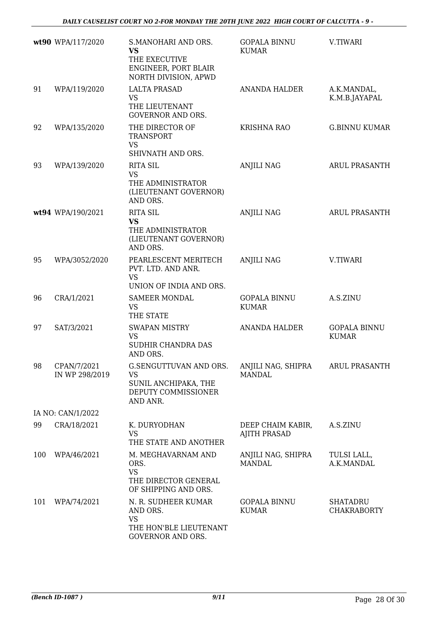|     | wt90 WPA/117/2020             | S.MANOHARI AND ORS.<br><b>VS</b><br>THE EXECUTIVE<br>ENGINEER, PORT BLAIR<br>NORTH DIVISION, APWD | <b>GOPALA BINNU</b><br><b>KUMAR</b>      | V.TIWARI                              |
|-----|-------------------------------|---------------------------------------------------------------------------------------------------|------------------------------------------|---------------------------------------|
| 91  | WPA/119/2020                  | <b>LALTA PRASAD</b><br><b>VS</b><br>THE LIEUTENANT<br><b>GOVERNOR AND ORS.</b>                    | <b>ANANDA HALDER</b>                     | A.K.MANDAL,<br>K.M.B.JAYAPAL          |
| 92  | WPA/135/2020                  | THE DIRECTOR OF<br><b>TRANSPORT</b><br><b>VS</b><br>SHIVNATH AND ORS.                             | <b>KRISHNA RAO</b>                       | <b>G.BINNU KUMAR</b>                  |
| 93  | WPA/139/2020                  | <b>RITA SIL</b><br><b>VS</b><br>THE ADMINISTRATOR<br>(LIEUTENANT GOVERNOR)<br>AND ORS.            | <b>ANJILI NAG</b>                        | <b>ARUL PRASANTH</b>                  |
|     | wt94 WPA/190/2021             | <b>RITA SIL</b><br><b>VS</b><br>THE ADMINISTRATOR<br>(LIEUTENANT GOVERNOR)<br>AND ORS.            | <b>ANJILI NAG</b>                        | <b>ARUL PRASANTH</b>                  |
| 95  | WPA/3052/2020                 | PEARLESCENT MERITECH<br>PVT. LTD. AND ANR.<br><b>VS</b><br>UNION OF INDIA AND ORS.                | <b>ANJILI NAG</b>                        | V.TIWARI                              |
| 96  | CRA/1/2021                    | <b>SAMEER MONDAL</b><br><b>VS</b><br>THE STATE                                                    | <b>GOPALA BINNU</b><br><b>KUMAR</b>      | A.S.ZINU                              |
| 97  | SAT/3/2021                    | <b>SWAPAN MISTRY</b><br><b>VS</b><br>SUDHIR CHANDRA DAS<br>AND ORS.                               | <b>ANANDA HALDER</b>                     | <b>GOPALA BINNU</b><br><b>KUMAR</b>   |
| 98  | CPAN/7/2021<br>IN WP 298/2019 | G.SENGUTTUVAN AND ORS.<br>VS<br>SUNIL ANCHIPAKA, THE<br>DEPUTY COMMISSIONER<br>AND ANR.           | ANJILI NAG, SHIPRA<br><b>MANDAL</b>      | ARUL PRASANTH                         |
|     | IA NO: CAN/1/2022             |                                                                                                   |                                          |                                       |
| 99  | CRA/18/2021                   | K. DURYODHAN<br><b>VS</b><br>THE STATE AND ANOTHER                                                | DEEP CHAIM KABIR,<br><b>AJITH PRASAD</b> | A.S.ZINU                              |
| 100 | WPA/46/2021                   | M. MEGHAVARNAM AND<br>ORS.<br><b>VS</b><br>THE DIRECTOR GENERAL<br>OF SHIPPING AND ORS.           | ANJILI NAG, SHIPRA<br><b>MANDAL</b>      | TULSI LALL,<br>A.K.MANDAL             |
| 101 | WPA/74/2021                   | N. R. SUDHEER KUMAR<br>AND ORS.<br><b>VS</b><br>THE HON'BLE LIEUTENANT<br>GOVERNOR AND ORS.       | <b>GOPALA BINNU</b><br><b>KUMAR</b>      | <b>SHATADRU</b><br><b>CHAKRABORTY</b> |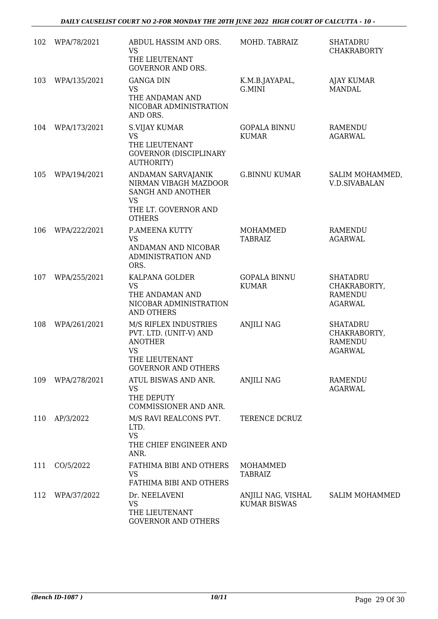| 102 | WPA/78/2021  | ABDUL HASSIM AND ORS.<br><b>VS</b><br>THE LIEUTENANT<br><b>GOVERNOR AND ORS.</b>                                               | MOHD. TABRAIZ                             | <b>SHATADRU</b><br><b>CHAKRABORTY</b>                               |
|-----|--------------|--------------------------------------------------------------------------------------------------------------------------------|-------------------------------------------|---------------------------------------------------------------------|
| 103 | WPA/135/2021 | <b>GANGA DIN</b><br><b>VS</b><br>THE ANDAMAN AND<br>NICOBAR ADMINISTRATION<br>AND ORS.                                         | K.M.B.JAYAPAL,<br>G.MINI                  | <b>AJAY KUMAR</b><br><b>MANDAL</b>                                  |
| 104 | WPA/173/2021 | <b>S.VIJAY KUMAR</b><br><b>VS</b><br>THE LIEUTENANT<br><b>GOVERNOR (DISCIPLINARY</b><br><b>AUTHORITY)</b>                      | <b>GOPALA BINNU</b><br><b>KUMAR</b>       | RAMENDU<br><b>AGARWAL</b>                                           |
| 105 | WPA/194/2021 | ANDAMAN SARVAJANIK<br>NIRMAN VIBAGH MAZDOOR<br>SANGH AND ANOTHER<br><b>VS</b><br>THE LT. GOVERNOR AND<br><b>OTHERS</b>         | <b>G.BINNU KUMAR</b>                      | SALIM MOHAMMED,<br><b>V.D.SIVABALAN</b>                             |
| 106 | WPA/222/2021 | P.AMEENA KUTTY<br><b>VS</b><br>ANDAMAN AND NICOBAR<br>ADMINISTRATION AND<br>ORS.                                               | MOHAMMED<br><b>TABRAIZ</b>                | <b>RAMENDU</b><br><b>AGARWAL</b>                                    |
| 107 | WPA/255/2021 | KALPANA GOLDER<br><b>VS</b><br>THE ANDAMAN AND<br>NICOBAR ADMINISTRATION<br><b>AND OTHERS</b>                                  | <b>GOPALA BINNU</b><br><b>KUMAR</b>       | <b>SHATADRU</b><br>CHAKRABORTY,<br><b>RAMENDU</b><br><b>AGARWAL</b> |
| 108 | WPA/261/2021 | M/S RIFLEX INDUSTRIES<br>PVT. LTD. (UNIT-V) AND<br><b>ANOTHER</b><br><b>VS</b><br>THE LIEUTENANT<br><b>GOVERNOR AND OTHERS</b> | <b>ANJILI NAG</b>                         | <b>SHATADRU</b><br>CHAKRABORTY,<br><b>RAMENDU</b><br><b>AGARWAL</b> |
| 109 | WPA/278/2021 | ATUL BISWAS AND ANR.<br><b>VS</b><br>THE DEPUTY<br>COMMISSIONER AND ANR.                                                       | <b>ANJILI NAG</b>                         | RAMENDU<br><b>AGARWAL</b>                                           |
| 110 | AP/3/2022    | M/S RAVI REALCONS PVT.<br>LTD.<br><b>VS</b><br>THE CHIEF ENGINEER AND<br>ANR.                                                  | TERENCE DCRUZ                             |                                                                     |
| 111 | CO/5/2022    | FATHIMA BIBI AND OTHERS<br><b>VS</b><br>FATHIMA BIBI AND OTHERS                                                                | MOHAMMED<br><b>TABRAIZ</b>                |                                                                     |
| 112 | WPA/37/2022  | Dr. NEELAVENI<br><b>VS</b><br>THE LIEUTENANT<br><b>GOVERNOR AND OTHERS</b>                                                     | ANJILI NAG, VISHAL<br><b>KUMAR BISWAS</b> | <b>SALIM MOHAMMED</b>                                               |